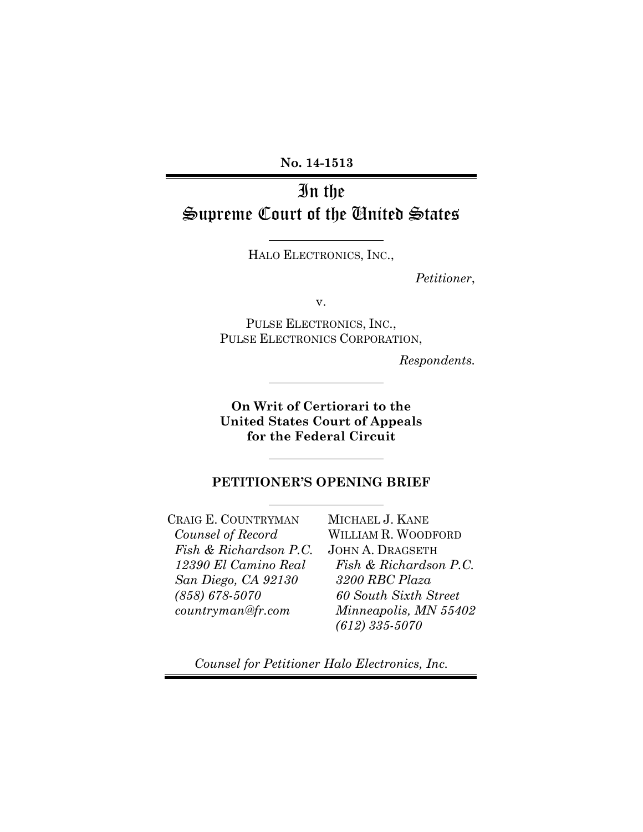No. 14-1513

# In the Supreme Court of the United States

HALO ELECTRONICS, INC.,

Petitioner,

v.

PULSE ELECTRONICS, INC., PULSE ELECTRONICS CORPORATION,

Respondents.

On Writ of Certiorari to the United States Court of Appeals for the Federal Circuit

## PETITIONER'S OPENING BRIEF

CRAIG E. COUNTRYMAN Counsel of Record Fish & Richardson P.C. 12390 El Camino Real San Diego, CA 92130 (858) 678-5070 countryman@fr.com

MICHAEL J. KANE WILLIAM R. WOODFORD JOHN A. DRAGSETH Fish & Richardson P.C. 3200 RBC Plaza 60 South Sixth Street Minneapolis, MN 55402 (612) 335-5070

Counsel for Petitioner Halo Electronics, Inc.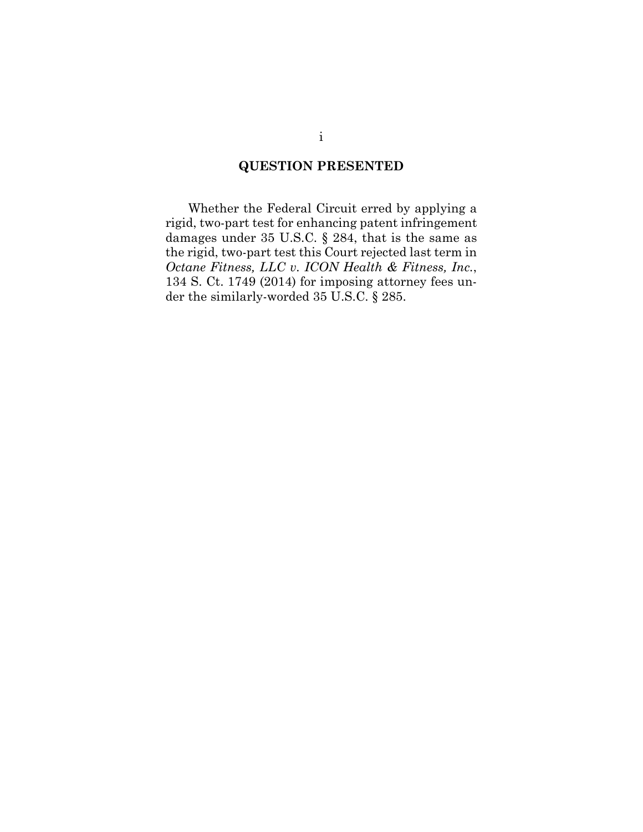## QUESTION PRESENTED

Whether the Federal Circuit erred by applying a rigid, two-part test for enhancing patent infringement damages under 35 U.S.C. § 284, that is the same as the rigid, two-part test this Court rejected last term in Octane Fitness, LLC v. ICON Health & Fitness, Inc., 134 S. Ct. 1749 (2014) for imposing attorney fees under the similarly-worded 35 U.S.C. § 285.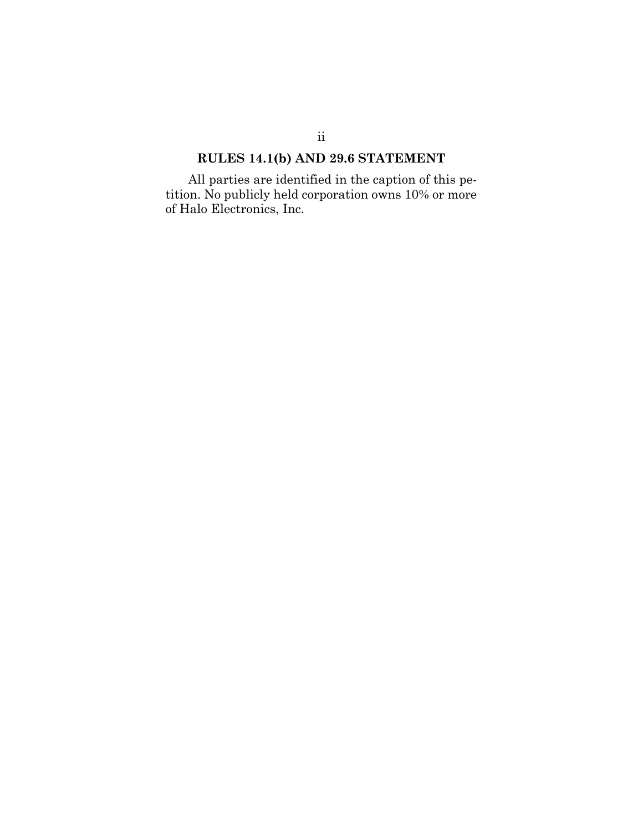# RULES 14.1(b) AND 29.6 STATEMENT

All parties are identified in the caption of this petition. No publicly held corporation owns 10% or more of Halo Electronics, Inc.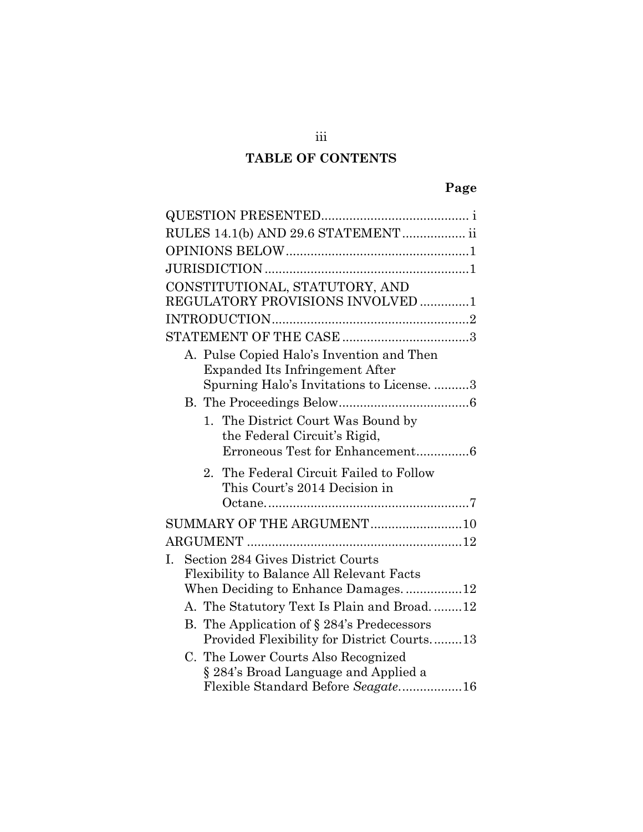# TABLE OF CONTENTS

| RULES 14.1(b) AND 29.6 STATEMENT  ii                                                             |
|--------------------------------------------------------------------------------------------------|
|                                                                                                  |
|                                                                                                  |
| CONSTITUTIONAL, STATUTORY, AND                                                                   |
| REGULATORY PROVISIONS INVOLVED 1                                                                 |
|                                                                                                  |
|                                                                                                  |
| A. Pulse Copied Halo's Invention and Then<br>Expanded Its Infringement After                     |
| Spurning Halo's Invitations to License. 3                                                        |
|                                                                                                  |
| 1. The District Court Was Bound by<br>the Federal Circuit's Rigid,                               |
| Erroneous Test for Enhancement6                                                                  |
| The Federal Circuit Failed to Follow<br>$2_{-}$<br>This Court's 2014 Decision in                 |
|                                                                                                  |
| SUMMARY OF THE ARGUMENT10                                                                        |
|                                                                                                  |
| Section 284 Gives District Courts<br>$\mathbf{I}$ .<br>Flexibility to Balance All Relevant Facts |
| When Deciding to Enhance Damages12                                                               |
| A. The Statutory Text Is Plain and Broad12                                                       |
| B. The Application of § 284's Predecessors<br>Provided Flexibility for District Courts13         |
| C. The Lower Courts Also Recognized<br>§ 284's Broad Language and Applied a                      |
| Flexible Standard Before Seagate16                                                               |

iii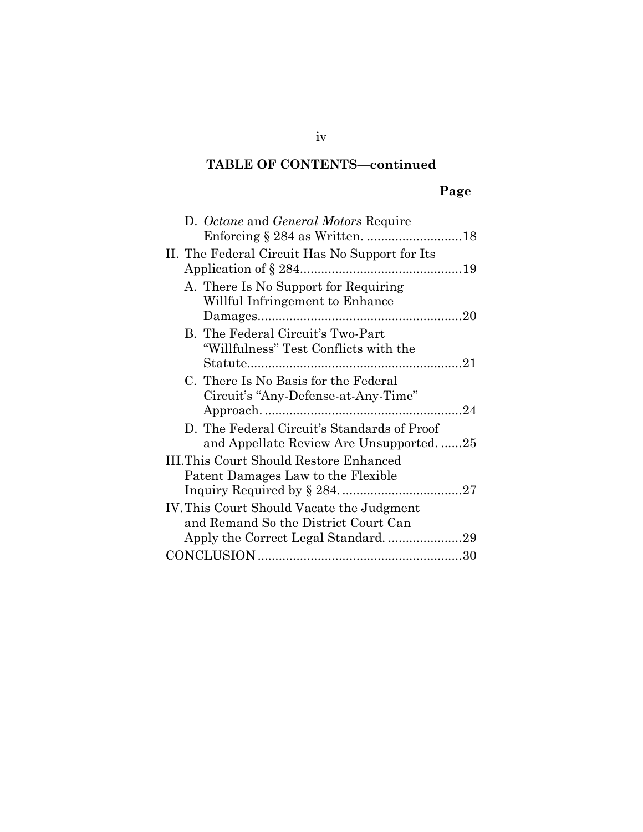## TABLE OF CONTENTS—continued

# Page

| D. Octane and General Motors Require           |  |
|------------------------------------------------|--|
|                                                |  |
| II. The Federal Circuit Has No Support for Its |  |
|                                                |  |
| A. There Is No Support for Requiring           |  |
| Willful Infringement to Enhance                |  |
|                                                |  |
| B. The Federal Circuit's Two-Part              |  |
| "Willfulness" Test Conflicts with the          |  |
|                                                |  |
| C. There Is No Basis for the Federal           |  |
| Circuit's "Any-Defense-at-Any-Time"            |  |
|                                                |  |
| D. The Federal Circuit's Standards of Proof    |  |
| and Appellate Review Are Unsupported25         |  |
| III.This Court Should Restore Enhanced         |  |
| Patent Damages Law to the Flexible             |  |
|                                                |  |
| IV. This Court Should Vacate the Judgment      |  |
| and Remand So the District Court Can           |  |
|                                                |  |
|                                                |  |
|                                                |  |

iv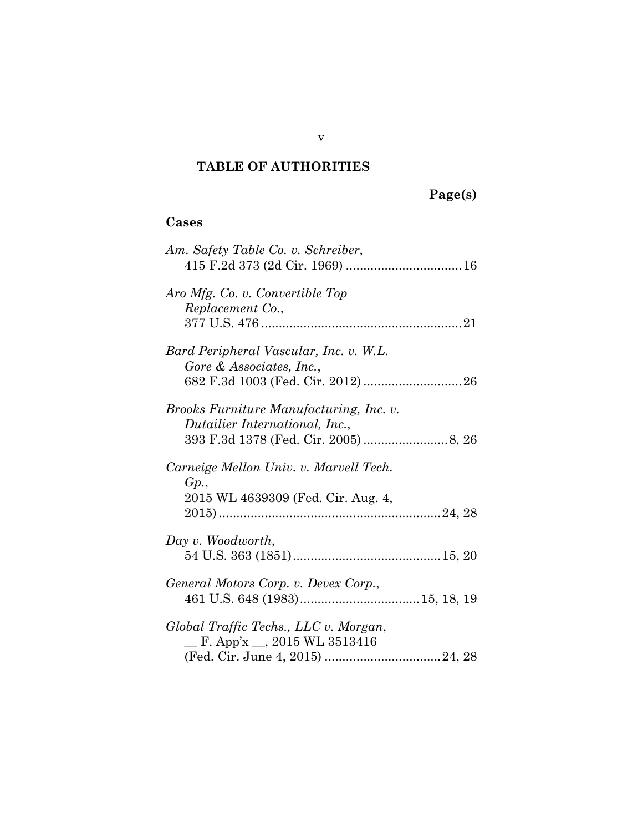# TABLE OF AUTHORITIES

# Page(s)

## Cases

| Am. Safety Table Co. v. Schreiber,                                                  |
|-------------------------------------------------------------------------------------|
| Aro Mfg. Co. v. Convertible Top<br>Replacement Co.,                                 |
| Bard Peripheral Vascular, Inc. v. W.L.<br>Gore & Associates, Inc.,                  |
| Brooks Furniture Manufacturing, Inc. v.<br>Dutailier International, Inc.,           |
| Carneige Mellon Univ. v. Marvell Tech.<br>Gp.<br>2015 WL 4639309 (Fed. Cir. Aug. 4, |
| Day v. Woodworth,                                                                   |
| General Motors Corp. v. Devex Corp.,                                                |
| Global Traffic Techs., LLC v. Morgan,<br>F. App'x $\_\_$ , 2015 WL 3513416          |

v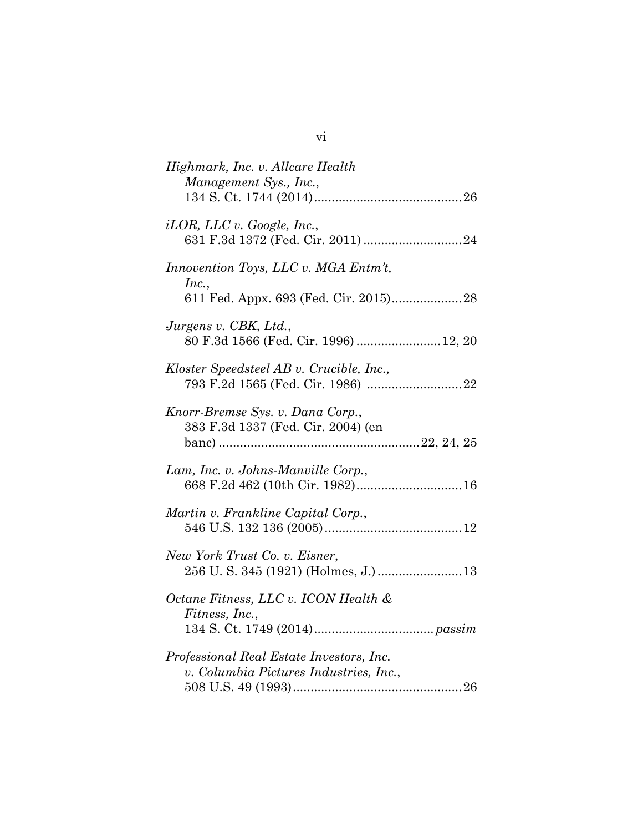| Highmark, Inc. v. Allcare Health<br>Management Sys., Inc.,                         |
|------------------------------------------------------------------------------------|
| $iLOR$ , LLC v. Google, Inc.,                                                      |
| Innovention Toys, LLC v. MGA Entm't,<br>Inc.,                                      |
| Jurgens v. CBK, Ltd.,<br>80 F.3d 1566 (Fed. Cir. 1996)  12, 20                     |
| Kloster Speedsteel AB v. Crucible, Inc.,                                           |
| Knorr-Bremse Sys. v. Dana Corp.,<br>383 F.3d 1337 (Fed. Cir. 2004) (en             |
| Lam, Inc. v. Johns-Manville Corp.,<br>668 F.2d 462 (10th Cir. 1982) 16             |
| Martin v. Frankline Capital Corp.,                                                 |
| New York Trust Co. v. Eisner,<br>256 U.S. 345 (1921) (Holmes, J.)  13              |
| Octane Fitness, LLC v. ICON Health &<br>Fitness, Inc.,                             |
| Professional Real Estate Investors, Inc.<br>v. Columbia Pictures Industries, Inc., |

vi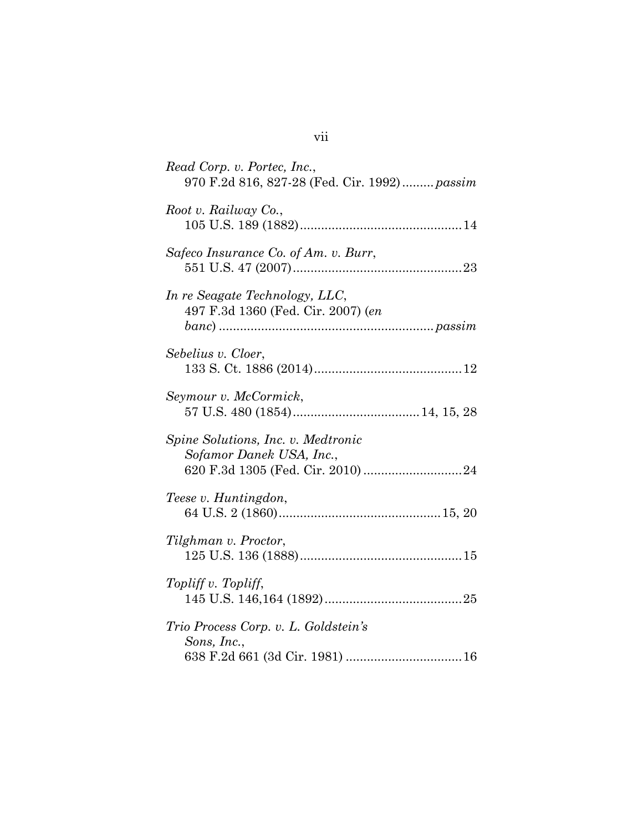| Read Corp. v. Portec, Inc.,<br>970 F.2d 816, 827-28 (Fed. Cir. 1992) passim |
|-----------------------------------------------------------------------------|
| Root v. Railway Co.,                                                        |
| Safeco Insurance Co. of Am. v. Burr,                                        |
| In re Seagate Technology, LLC,<br>497 F.3d 1360 (Fed. Cir. 2007) (en        |
| Sebelius v. Cloer,                                                          |
| Seymour v. McCormick,                                                       |
| Spine Solutions, Inc. v. Medtronic<br>Sofamor Danek USA, Inc.,              |
| Teese v. Huntingdon,                                                        |
| Tilghman v. Proctor,                                                        |
| Topliff v. Topliff,                                                         |
| Trio Process Corp. v. L. Goldstein's<br>Sons, Inc.,                         |

# vii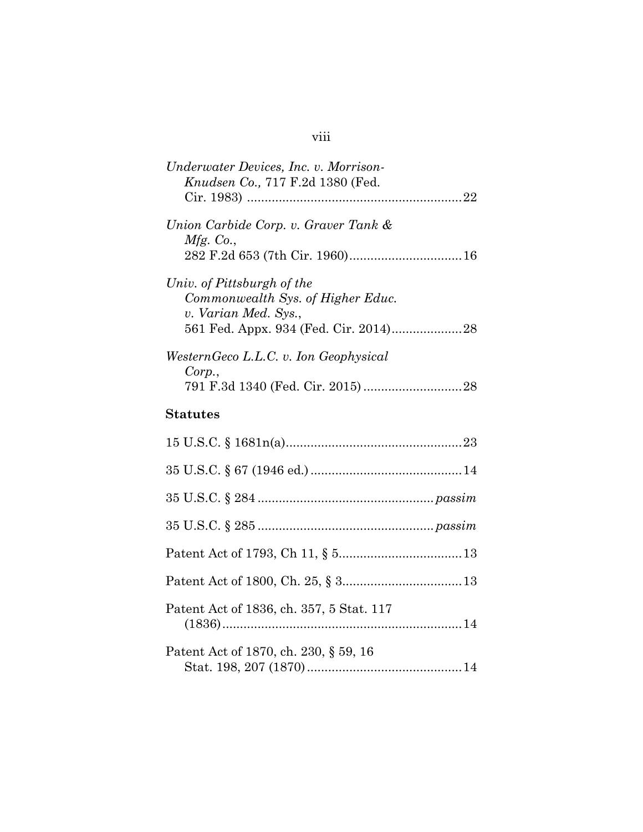# viii

| Underwater Devices, Inc. v. Morrison-<br><i>Knudsen Co.</i> , 717 F.2d 1380 (Fed.                                                |
|----------------------------------------------------------------------------------------------------------------------------------|
|                                                                                                                                  |
| Union Carbide Corp. v. Graver Tank &<br>Mfg. Co.,                                                                                |
| Univ. of Pittsburgh of the<br>Commonwealth Sys. of Higher Educ.<br>v. Varian Med. Sys.,<br>561 Fed. Appx. 934 (Fed. Cir. 2014)28 |
| WesternGeco L.L.C. v. Ion Geophysical<br>Corp.,                                                                                  |
| <b>Statutes</b>                                                                                                                  |
|                                                                                                                                  |
|                                                                                                                                  |
|                                                                                                                                  |
|                                                                                                                                  |
|                                                                                                                                  |
|                                                                                                                                  |
| Patent Act of 1836, ch. 357, 5 Stat. 117                                                                                         |
| Patent Act of 1870, ch. 230, § 59, 16                                                                                            |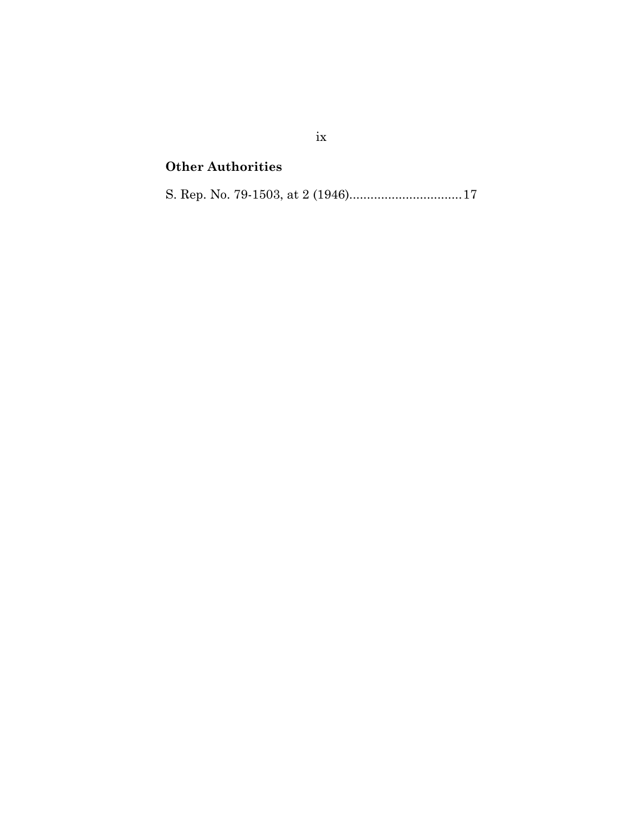## Other Authorities

S. Rep. No. 79-1503, at 2 (1946)................................ 17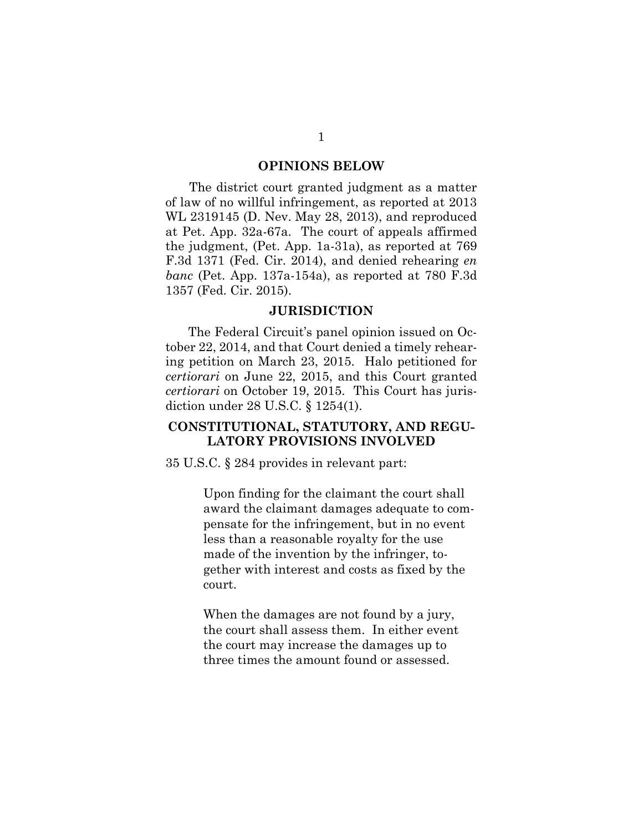#### OPINIONS BELOW

The district court granted judgment as a matter of law of no willful infringement, as reported at 2013 WL 2319145 (D. Nev. May 28, 2013), and reproduced at Pet. App. 32a-67a. The court of appeals affirmed the judgment, (Pet. App. 1a-31a), as reported at 769 F.3d 1371 (Fed. Cir. 2014), and denied rehearing en banc (Pet. App. 137a-154a), as reported at 780 F.3d 1357 (Fed. Cir. 2015).

#### **JURISDICTION**

The Federal Circuit's panel opinion issued on October 22, 2014, and that Court denied a timely rehearing petition on March 23, 2015. Halo petitioned for certiorari on June 22, 2015, and this Court granted certiorari on October 19, 2015. This Court has jurisdiction under 28 U.S.C. § 1254(1).

### CONSTITUTIONAL, STATUTORY, AND REGU-LATORY PROVISIONS INVOLVED

35 U.S.C. § 284 provides in relevant part:

Upon finding for the claimant the court shall award the claimant damages adequate to compensate for the infringement, but in no event less than a reasonable royalty for the use made of the invention by the infringer, together with interest and costs as fixed by the court.

When the damages are not found by a jury, the court shall assess them. In either event the court may increase the damages up to three times the amount found or assessed.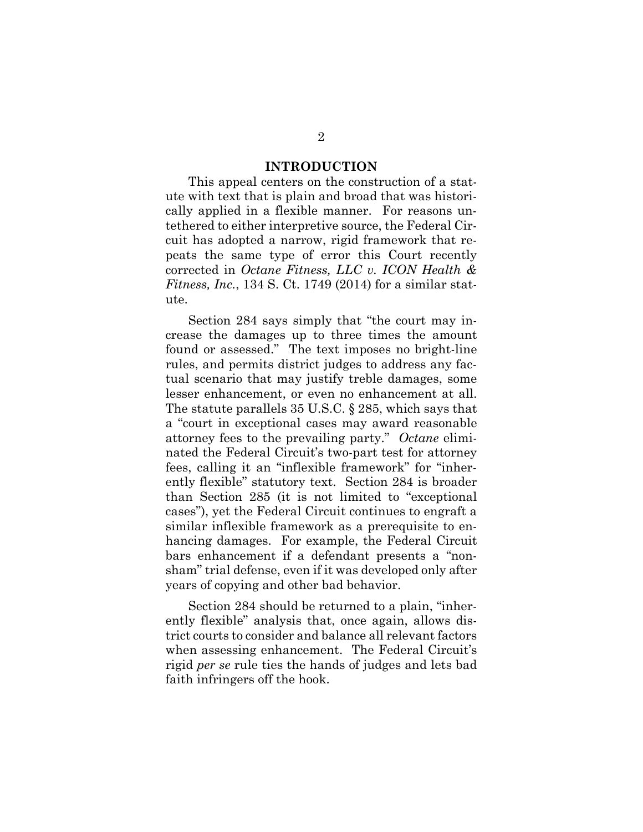#### INTRODUCTION

This appeal centers on the construction of a statute with text that is plain and broad that was historically applied in a flexible manner. For reasons untethered to either interpretive source, the Federal Circuit has adopted a narrow, rigid framework that repeats the same type of error this Court recently corrected in Octane Fitness, LLC v. ICON Health & Fitness, Inc., 134 S. Ct. 1749 (2014) for a similar statute.

Section 284 says simply that "the court may increase the damages up to three times the amount found or assessed." The text imposes no bright-line rules, and permits district judges to address any factual scenario that may justify treble damages, some lesser enhancement, or even no enhancement at all. The statute parallels 35 U.S.C. § 285, which says that a "court in exceptional cases may award reasonable attorney fees to the prevailing party." Octane eliminated the Federal Circuit's two-part test for attorney fees, calling it an "inflexible framework" for "inherently flexible" statutory text. Section 284 is broader than Section 285 (it is not limited to "exceptional cases"), yet the Federal Circuit continues to engraft a similar inflexible framework as a prerequisite to enhancing damages. For example, the Federal Circuit bars enhancement if a defendant presents a "nonsham" trial defense, even if it was developed only after years of copying and other bad behavior.

Section 284 should be returned to a plain, "inherently flexible" analysis that, once again, allows district courts to consider and balance all relevant factors when assessing enhancement. The Federal Circuit's rigid per se rule ties the hands of judges and lets bad faith infringers off the hook.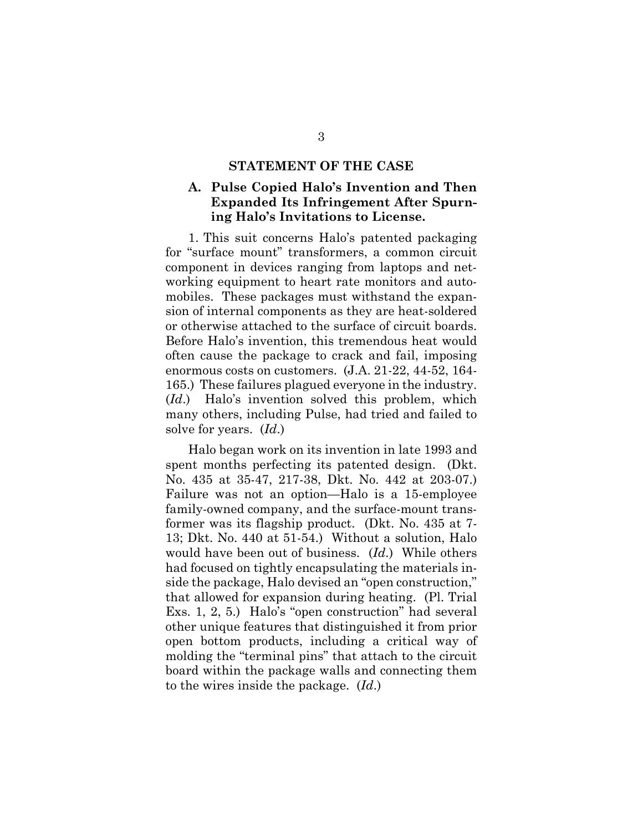#### STATEMENT OF THE CASE

## A. Pulse Copied Halo's Invention and Then Expanded Its Infringement After Spurning Halo's Invitations to License.

1. This suit concerns Halo's patented packaging for "surface mount" transformers, a common circuit component in devices ranging from laptops and networking equipment to heart rate monitors and automobiles. These packages must withstand the expansion of internal components as they are heat-soldered or otherwise attached to the surface of circuit boards. Before Halo's invention, this tremendous heat would often cause the package to crack and fail, imposing enormous costs on customers. (J.A. 21-22, 44-52, 164- 165.) These failures plagued everyone in the industry. (Id.) Halo's invention solved this problem, which many others, including Pulse, had tried and failed to solve for years. (Id.)

Halo began work on its invention in late 1993 and spent months perfecting its patented design. (Dkt. No. 435 at 35-47, 217-38, Dkt. No. 442 at 203-07.) Failure was not an option—Halo is a 15-employee family-owned company, and the surface-mount transformer was its flagship product. (Dkt. No. 435 at 7- 13; Dkt. No. 440 at 51-54.) Without a solution, Halo would have been out of business. (Id.) While others had focused on tightly encapsulating the materials inside the package, Halo devised an "open construction," that allowed for expansion during heating. (Pl. Trial Exs. 1, 2, 5.) Halo's "open construction" had several other unique features that distinguished it from prior open bottom products, including a critical way of molding the "terminal pins" that attach to the circuit board within the package walls and connecting them to the wires inside the package. (Id.)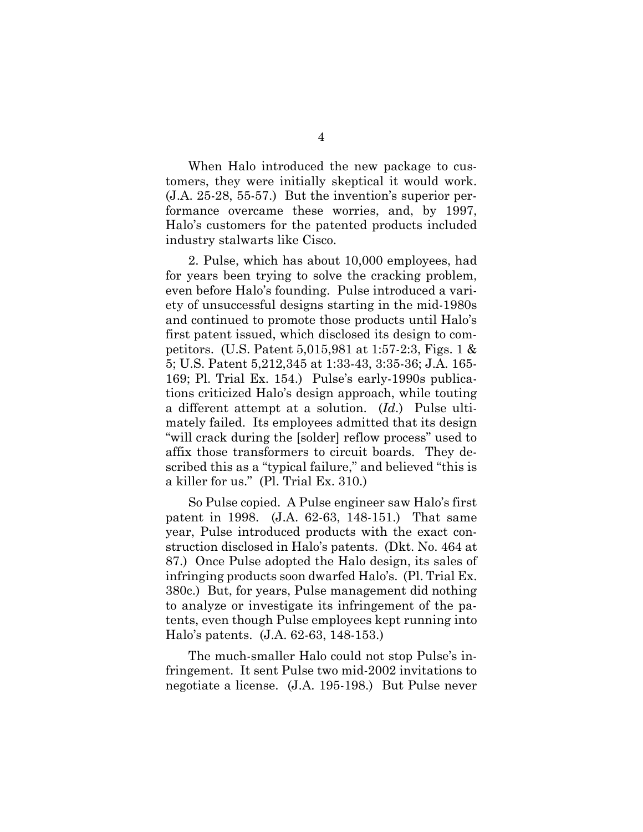When Halo introduced the new package to customers, they were initially skeptical it would work. (J.A. 25-28, 55-57.) But the invention's superior performance overcame these worries, and, by 1997, Halo's customers for the patented products included industry stalwarts like Cisco.

2. Pulse, which has about 10,000 employees, had for years been trying to solve the cracking problem, even before Halo's founding. Pulse introduced a variety of unsuccessful designs starting in the mid-1980s and continued to promote those products until Halo's first patent issued, which disclosed its design to competitors. (U.S. Patent 5,015,981 at 1:57-2:3, Figs. 1 & 5; U.S. Patent 5,212,345 at 1:33-43, 3:35-36; J.A. 165- 169; Pl. Trial Ex. 154.) Pulse's early-1990s publications criticized Halo's design approach, while touting a different attempt at a solution. (Id.) Pulse ultimately failed. Its employees admitted that its design "will crack during the [solder] reflow process" used to affix those transformers to circuit boards. They described this as a "typical failure," and believed "this is a killer for us." (Pl. Trial Ex. 310.)

So Pulse copied. A Pulse engineer saw Halo's first patent in 1998. (J.A. 62-63, 148-151.) That same year, Pulse introduced products with the exact construction disclosed in Halo's patents. (Dkt. No. 464 at 87.) Once Pulse adopted the Halo design, its sales of infringing products soon dwarfed Halo's. (Pl. Trial Ex. 380c.) But, for years, Pulse management did nothing to analyze or investigate its infringement of the patents, even though Pulse employees kept running into Halo's patents. (J.A. 62-63, 148-153.)

The much-smaller Halo could not stop Pulse's infringement. It sent Pulse two mid-2002 invitations to negotiate a license. (J.A. 195-198.) But Pulse never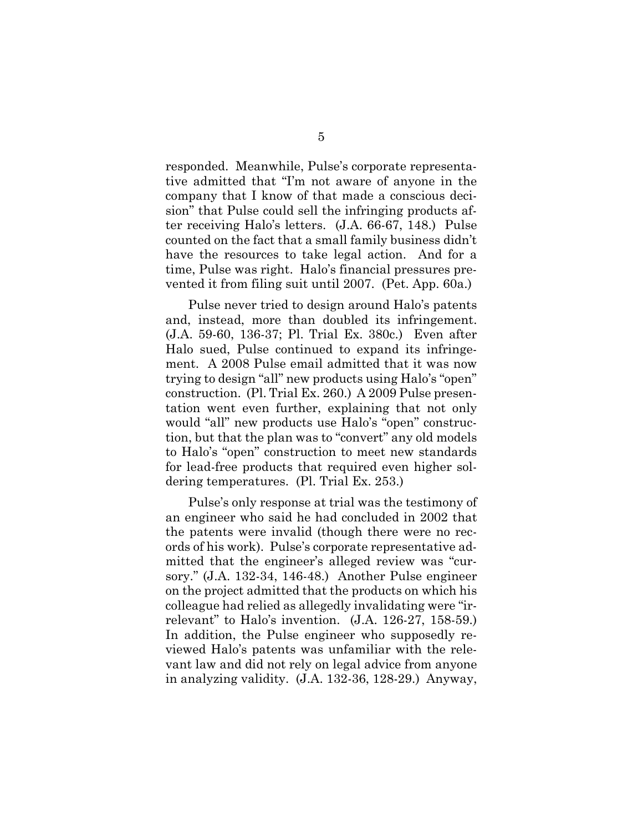responded. Meanwhile, Pulse's corporate representative admitted that "I'm not aware of anyone in the company that I know of that made a conscious decision" that Pulse could sell the infringing products after receiving Halo's letters. (J.A. 66-67, 148.) Pulse counted on the fact that a small family business didn't have the resources to take legal action. And for a time, Pulse was right. Halo's financial pressures prevented it from filing suit until 2007. (Pet. App. 60a.)

Pulse never tried to design around Halo's patents and, instead, more than doubled its infringement. (J.A. 59-60, 136-37; Pl. Trial Ex. 380c.) Even after Halo sued, Pulse continued to expand its infringement. A 2008 Pulse email admitted that it was now trying to design "all" new products using Halo's "open" construction. (Pl. Trial Ex. 260.) A 2009 Pulse presentation went even further, explaining that not only would "all" new products use Halo's "open" construction, but that the plan was to "convert" any old models to Halo's "open" construction to meet new standards for lead-free products that required even higher soldering temperatures. (Pl. Trial Ex. 253.)

Pulse's only response at trial was the testimony of an engineer who said he had concluded in 2002 that the patents were invalid (though there were no records of his work). Pulse's corporate representative admitted that the engineer's alleged review was "cursory." (J.A. 132-34, 146-48.) Another Pulse engineer on the project admitted that the products on which his colleague had relied as allegedly invalidating were "irrelevant" to Halo's invention. (J.A. 126-27, 158-59.) In addition, the Pulse engineer who supposedly reviewed Halo's patents was unfamiliar with the relevant law and did not rely on legal advice from anyone in analyzing validity. (J.A. 132-36, 128-29.) Anyway,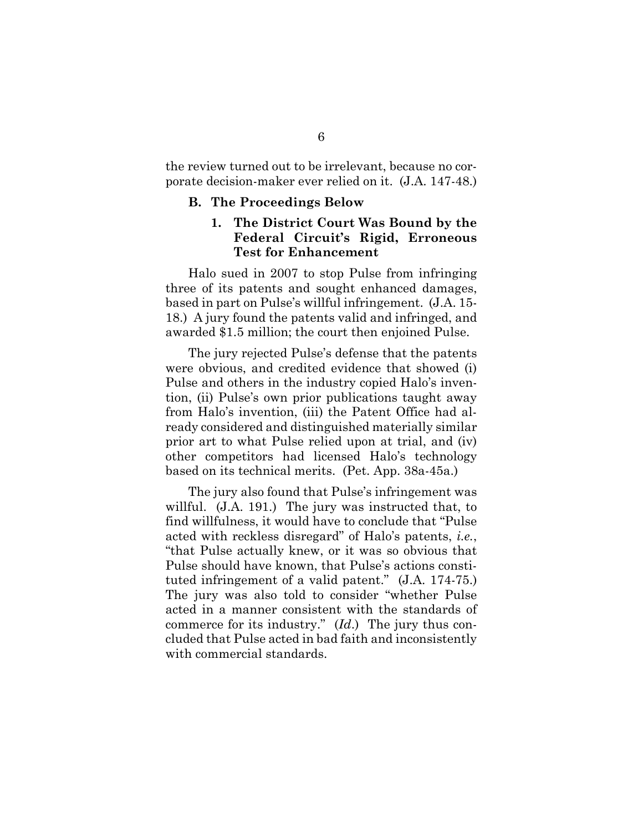the review turned out to be irrelevant, because no corporate decision-maker ever relied on it. (J.A. 147-48.)

#### B. The Proceedings Below

## 1. The District Court Was Bound by the Federal Circuit's Rigid, Erroneous Test for Enhancement

Halo sued in 2007 to stop Pulse from infringing three of its patents and sought enhanced damages, based in part on Pulse's willful infringement. (J.A. 15- 18.) A jury found the patents valid and infringed, and awarded \$1.5 million; the court then enjoined Pulse.

The jury rejected Pulse's defense that the patents were obvious, and credited evidence that showed (i) Pulse and others in the industry copied Halo's invention, (ii) Pulse's own prior publications taught away from Halo's invention, (iii) the Patent Office had already considered and distinguished materially similar prior art to what Pulse relied upon at trial, and (iv) other competitors had licensed Halo's technology based on its technical merits. (Pet. App. 38a-45a.)

The jury also found that Pulse's infringement was willful. (J.A. 191.) The jury was instructed that, to find willfulness, it would have to conclude that "Pulse acted with reckless disregard" of Halo's patents, i.e., "that Pulse actually knew, or it was so obvious that Pulse should have known, that Pulse's actions constituted infringement of a valid patent." (J.A. 174-75.) The jury was also told to consider "whether Pulse acted in a manner consistent with the standards of commerce for its industry." (Id.) The jury thus concluded that Pulse acted in bad faith and inconsistently with commercial standards.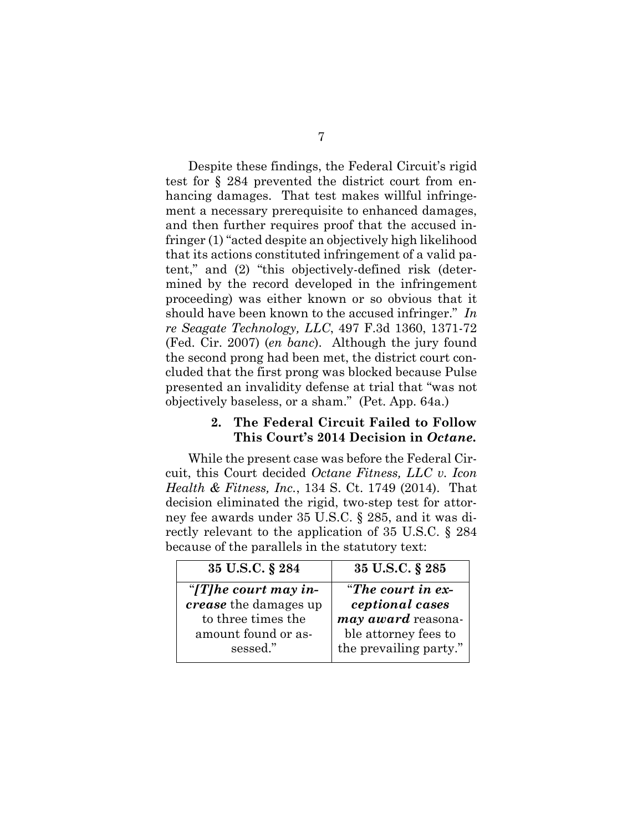Despite these findings, the Federal Circuit's rigid test for § 284 prevented the district court from enhancing damages. That test makes willful infringement a necessary prerequisite to enhanced damages, and then further requires proof that the accused infringer (1) "acted despite an objectively high likelihood that its actions constituted infringement of a valid patent," and (2) "this objectively-defined risk (determined by the record developed in the infringement proceeding) was either known or so obvious that it should have been known to the accused infringer." In re Seagate Technology, LLC, 497 F.3d 1360, 1371-72 (Fed. Cir. 2007) (en banc). Although the jury found the second prong had been met, the district court concluded that the first prong was blocked because Pulse presented an invalidity defense at trial that "was not objectively baseless, or a sham." (Pet. App. 64a.)

#### 2. The Federal Circuit Failed to Follow This Court's 2014 Decision in Octane.

While the present case was before the Federal Circuit, this Court decided Octane Fitness, LLC v. Icon Health & Fitness, Inc., 134 S. Ct. 1749 (2014). That decision eliminated the rigid, two-step test for attorney fee awards under 35 U.S.C. § 285, and it was directly relevant to the application of 35 U.S.C. § 284 because of the parallels in the statutory text:

| 35 U.S.C. § 284              | 35 U.S.C. § 285           |
|------------------------------|---------------------------|
| "[T] he court may in-        | "The court in $ex-$       |
| <i>crease</i> the damages up | ceptional cases           |
| to three times the           | <i>may award</i> reasona- |
| amount found or as-          | ble attorney fees to      |
| sessed."                     | the prevailing party."    |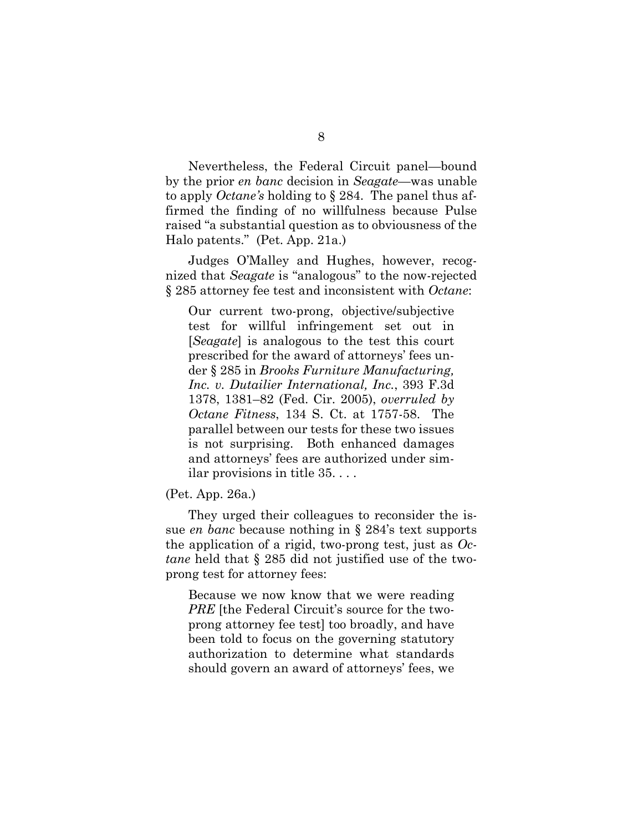Nevertheless, the Federal Circuit panel—bound by the prior en banc decision in Seagate—was unable to apply Octane's holding to § 284. The panel thus affirmed the finding of no willfulness because Pulse raised "a substantial question as to obviousness of the Halo patents." (Pet. App. 21a.)

Judges O'Malley and Hughes, however, recognized that Seagate is "analogous" to the now-rejected § 285 attorney fee test and inconsistent with Octane:

Our current two-prong, objective/subjective test for willful infringement set out in [Seagate] is analogous to the test this court prescribed for the award of attorneys' fees under § 285 in Brooks Furniture Manufacturing, Inc. v. Dutailier International, Inc., 393 F.3d 1378, 1381–82 (Fed. Cir. 2005), overruled by Octane Fitness, 134 S. Ct. at 1757-58. The parallel between our tests for these two issues is not surprising. Both enhanced damages and attorneys' fees are authorized under similar provisions in title 35. . . .

#### (Pet. App. 26a.)

They urged their colleagues to reconsider the issue en banc because nothing in § 284's text supports the application of a rigid, two-prong test, just as  $O<sub>c</sub>$ . tane held that § 285 did not justified use of the twoprong test for attorney fees:

Because we now know that we were reading PRE [the Federal Circuit's source for the twoprong attorney fee test] too broadly, and have been told to focus on the governing statutory authorization to determine what standards should govern an award of attorneys' fees, we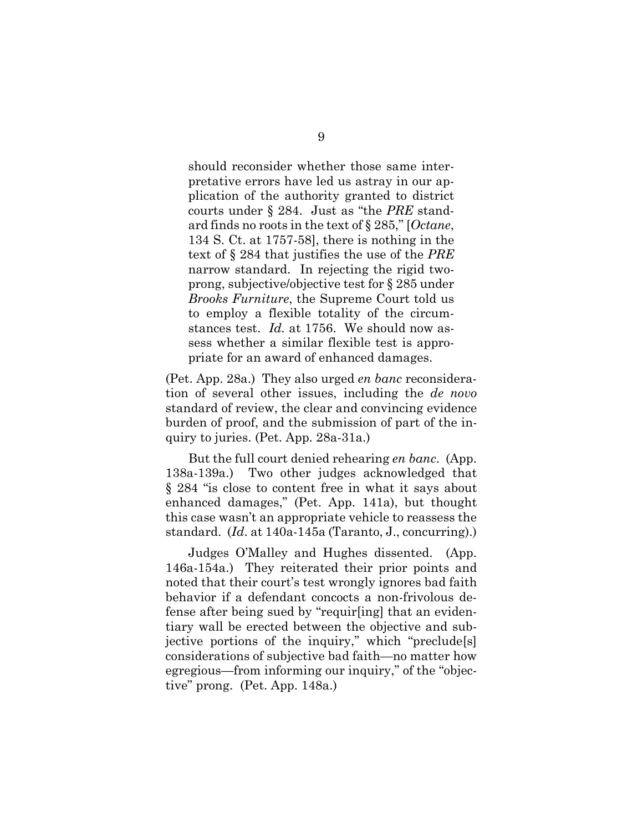should reconsider whether those same interpretative errors have led us astray in our application of the authority granted to district courts under  $\S 284$ . Just as "the *PRE* standard finds no roots in the text of  $\S 285$ ," [Octane, 134 S. Ct. at 1757-58], there is nothing in the text of § 284 that justifies the use of the PRE narrow standard. In rejecting the rigid twoprong, subjective/objective test for § 285 under Brooks Furniture, the Supreme Court told us to employ a flexible totality of the circumstances test. *Id.* at 1756. We should now assess whether a similar flexible test is appropriate for an award of enhanced damages.

(Pet. App. 28a.) They also urged en banc reconsideration of several other issues, including the de novo standard of review, the clear and convincing evidence burden of proof, and the submission of part of the inquiry to juries. (Pet. App. 28a-31a.)

But the full court denied rehearing en banc. (App. 138a-139a.) Two other judges acknowledged that § 284 "is close to content free in what it says about enhanced damages," (Pet. App. 141a), but thought this case wasn't an appropriate vehicle to reassess the standard. (Id. at 140a-145a (Taranto, J., concurring).)

Judges O'Malley and Hughes dissented. (App. 146a-154a.) They reiterated their prior points and noted that their court's test wrongly ignores bad faith behavior if a defendant concocts a non-frivolous defense after being sued by "requir[ing] that an evidentiary wall be erected between the objective and subjective portions of the inquiry," which "preclude[s] considerations of subjective bad faith—no matter how egregious—from informing our inquiry," of the "objective" prong. (Pet. App. 148a.)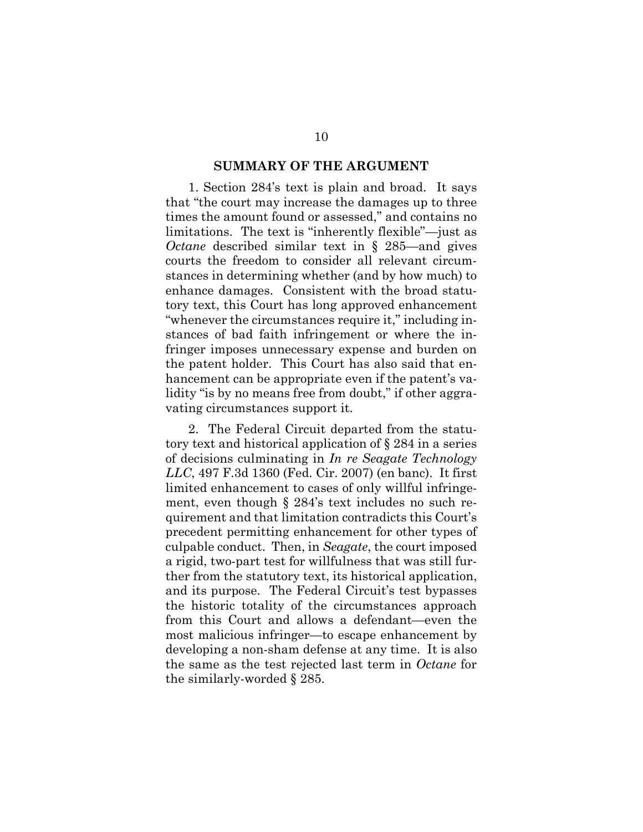#### SUMMARY OF THE ARGUMENT

1. Section 284's text is plain and broad. It says that "the court may increase the damages up to three times the amount found or assessed," and contains no limitations. The text is "inherently flexible"—just as Octane described similar text in § 285—and gives courts the freedom to consider all relevant circumstances in determining whether (and by how much) to enhance damages. Consistent with the broad statutory text, this Court has long approved enhancement "whenever the circumstances require it," including instances of bad faith infringement or where the infringer imposes unnecessary expense and burden on the patent holder. This Court has also said that enhancement can be appropriate even if the patent's validity "is by no means free from doubt," if other aggravating circumstances support it.

2. The Federal Circuit departed from the statutory text and historical application of § 284 in a series of decisions culminating in In re Seagate Technology LLC, 497 F.3d 1360 (Fed. Cir. 2007) (en banc). It first limited enhancement to cases of only willful infringement, even though § 284's text includes no such requirement and that limitation contradicts this Court's precedent permitting enhancement for other types of culpable conduct. Then, in Seagate, the court imposed a rigid, two-part test for willfulness that was still further from the statutory text, its historical application, and its purpose. The Federal Circuit's test bypasses the historic totality of the circumstances approach from this Court and allows a defendant—even the most malicious infringer—to escape enhancement by developing a non-sham defense at any time. It is also the same as the test rejected last term in Octane for the similarly-worded § 285.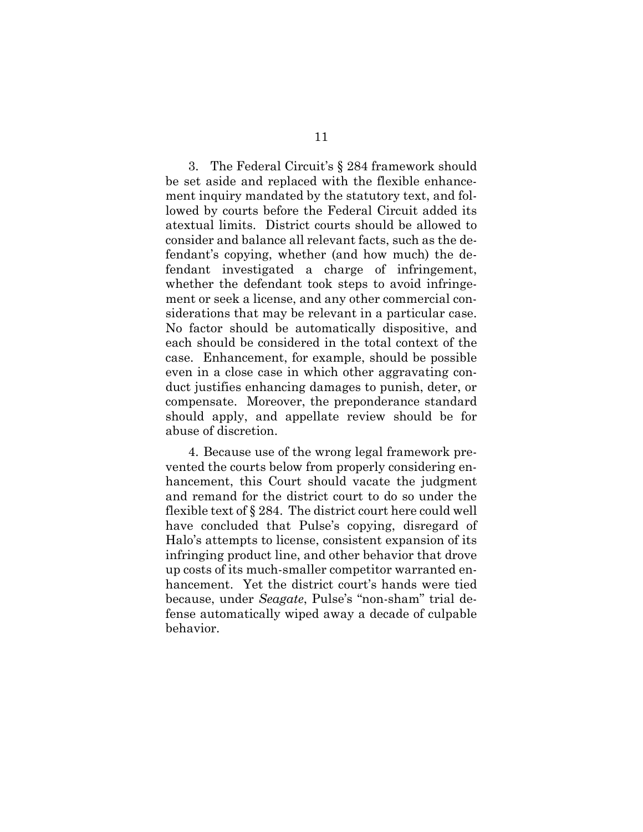3. The Federal Circuit's § 284 framework should be set aside and replaced with the flexible enhancement inquiry mandated by the statutory text, and followed by courts before the Federal Circuit added its atextual limits. District courts should be allowed to consider and balance all relevant facts, such as the defendant's copying, whether (and how much) the defendant investigated a charge of infringement, whether the defendant took steps to avoid infringement or seek a license, and any other commercial considerations that may be relevant in a particular case. No factor should be automatically dispositive, and each should be considered in the total context of the case. Enhancement, for example, should be possible even in a close case in which other aggravating conduct justifies enhancing damages to punish, deter, or compensate. Moreover, the preponderance standard should apply, and appellate review should be for abuse of discretion.

4. Because use of the wrong legal framework prevented the courts below from properly considering enhancement, this Court should vacate the judgment and remand for the district court to do so under the flexible text of § 284. The district court here could well have concluded that Pulse's copying, disregard of Halo's attempts to license, consistent expansion of its infringing product line, and other behavior that drove up costs of its much-smaller competitor warranted enhancement. Yet the district court's hands were tied because, under Seagate, Pulse's "non-sham" trial defense automatically wiped away a decade of culpable behavior.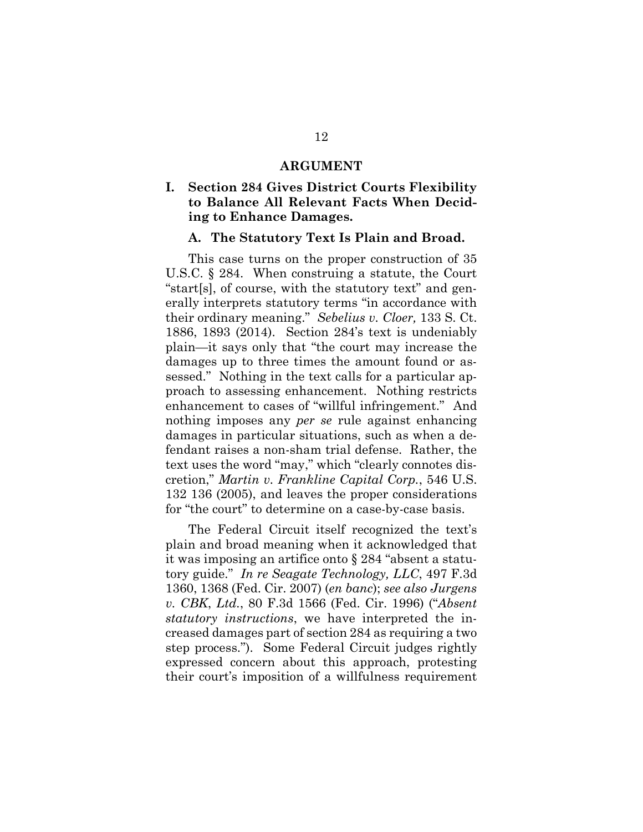#### ARGUMENT

## I. Section 284 Gives District Courts Flexibility to Balance All Relevant Facts When Deciding to Enhance Damages.

#### A. The Statutory Text Is Plain and Broad.

This case turns on the proper construction of 35 U.S.C. § 284. When construing a statute, the Court "start[s], of course, with the statutory text" and generally interprets statutory terms "in accordance with their ordinary meaning." Sebelius v. Cloer, 133 S. Ct. 1886, 1893 (2014). Section 284's text is undeniably plain—it says only that "the court may increase the damages up to three times the amount found or assessed." Nothing in the text calls for a particular approach to assessing enhancement. Nothing restricts enhancement to cases of "willful infringement." And nothing imposes any per se rule against enhancing damages in particular situations, such as when a defendant raises a non-sham trial defense. Rather, the text uses the word "may," which "clearly connotes discretion," Martin v. Frankline Capital Corp., 546 U.S. 132 136 (2005), and leaves the proper considerations for "the court" to determine on a case-by-case basis.

The Federal Circuit itself recognized the text's plain and broad meaning when it acknowledged that it was imposing an artifice onto § 284 "absent a statutory guide." In re Seagate Technology, LLC, 497 F.3d 1360, 1368 (Fed. Cir. 2007) (en banc); see also Jurgens v. CBK, Ltd., 80 F.3d 1566 (Fed. Cir. 1996) ("Absent statutory instructions, we have interpreted the increased damages part of section 284 as requiring a two step process."). Some Federal Circuit judges rightly expressed concern about this approach, protesting their court's imposition of a willfulness requirement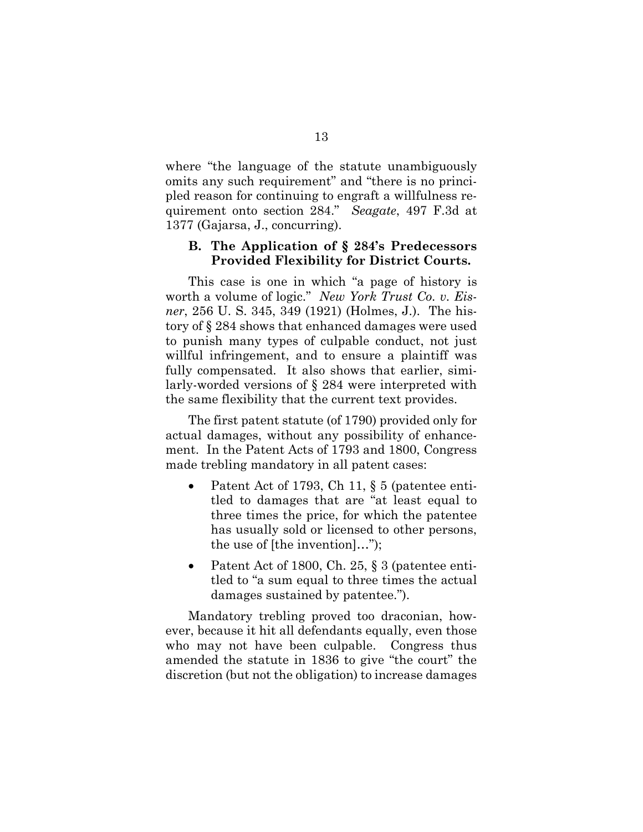where "the language of the statute unambiguously omits any such requirement" and "there is no principled reason for continuing to engraft a willfulness requirement onto section 284." Seagate, 497 F.3d at 1377 (Gajarsa, J., concurring).

#### B. The Application of § 284's Predecessors Provided Flexibility for District Courts.

This case is one in which "a page of history is worth a volume of logic." New York Trust Co. v. Eisner, 256 U. S. 345, 349 (1921) (Holmes, J.). The history of § 284 shows that enhanced damages were used to punish many types of culpable conduct, not just willful infringement, and to ensure a plaintiff was fully compensated. It also shows that earlier, similarly-worded versions of § 284 were interpreted with the same flexibility that the current text provides.

The first patent statute (of 1790) provided only for actual damages, without any possibility of enhancement. In the Patent Acts of 1793 and 1800, Congress made trebling mandatory in all patent cases:

- Patent Act of 1793, Ch 11, § 5 (patentee entitled to damages that are "at least equal to three times the price, for which the patentee has usually sold or licensed to other persons, the use of [the invention]…");
- Patent Act of 1800, Ch. 25, § 3 (patentee entitled to "a sum equal to three times the actual damages sustained by patentee.").

Mandatory trebling proved too draconian, however, because it hit all defendants equally, even those who may not have been culpable. Congress thus amended the statute in 1836 to give "the court" the discretion (but not the obligation) to increase damages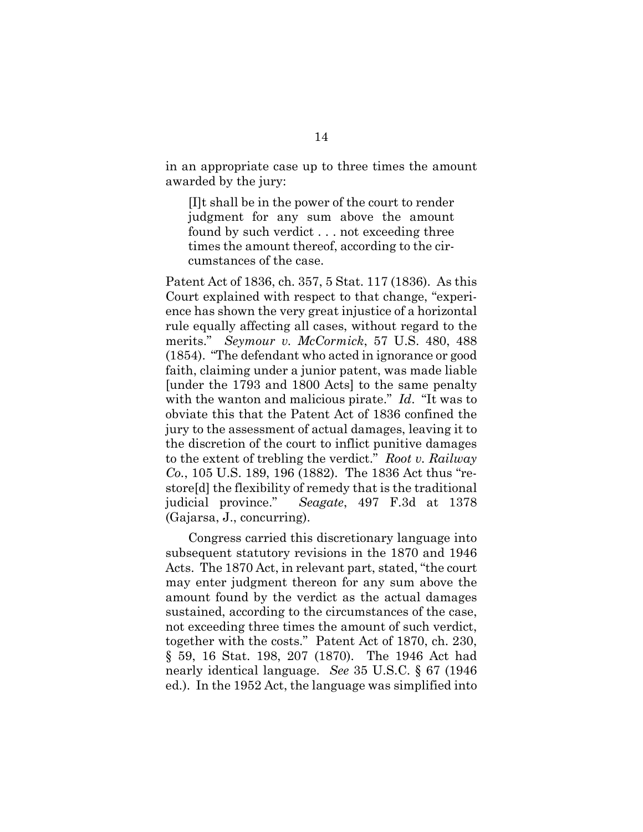in an appropriate case up to three times the amount awarded by the jury:

[I]t shall be in the power of the court to render judgment for any sum above the amount found by such verdict . . . not exceeding three times the amount thereof, according to the circumstances of the case.

Patent Act of 1836, ch. 357, 5 Stat. 117 (1836). As this Court explained with respect to that change, "experience has shown the very great injustice of a horizontal rule equally affecting all cases, without regard to the merits." Seymour v. McCormick, 57 U.S. 480, 488 (1854). "The defendant who acted in ignorance or good faith, claiming under a junior patent, was made liable [under the 1793 and 1800 Acts] to the same penalty with the wanton and malicious pirate." Id. "It was to obviate this that the Patent Act of 1836 confined the jury to the assessment of actual damages, leaving it to the discretion of the court to inflict punitive damages to the extent of trebling the verdict." Root v. Railway Co., 105 U.S. 189, 196 (1882). The 1836 Act thus "restore[d] the flexibility of remedy that is the traditional judicial province." Seagate, 497 F.3d at 1378 (Gajarsa, J., concurring).

Congress carried this discretionary language into subsequent statutory revisions in the 1870 and 1946 Acts. The 1870 Act, in relevant part, stated, "the court may enter judgment thereon for any sum above the amount found by the verdict as the actual damages sustained, according to the circumstances of the case, not exceeding three times the amount of such verdict, together with the costs." Patent Act of 1870, ch. 230, § 59, 16 Stat. 198, 207 (1870). The 1946 Act had nearly identical language. See 35 U.S.C. § 67 (1946 ed.). In the 1952 Act, the language was simplified into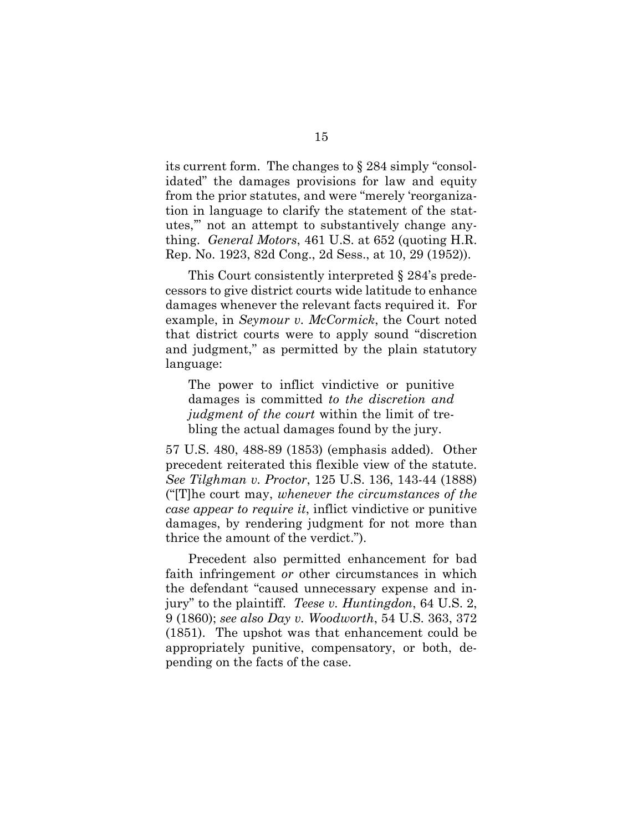its current form. The changes to § 284 simply "consolidated" the damages provisions for law and equity from the prior statutes, and were "merely 'reorganization in language to clarify the statement of the statutes,'" not an attempt to substantively change anything. General Motors, 461 U.S. at 652 (quoting H.R. Rep. No. 1923, 82d Cong., 2d Sess., at 10, 29 (1952)).

This Court consistently interpreted § 284's predecessors to give district courts wide latitude to enhance damages whenever the relevant facts required it. For example, in Seymour v. McCormick, the Court noted that district courts were to apply sound "discretion and judgment," as permitted by the plain statutory language:

The power to inflict vindictive or punitive damages is committed to the discretion and judgment of the court within the limit of trebling the actual damages found by the jury.

57 U.S. 480, 488-89 (1853) (emphasis added). Other precedent reiterated this flexible view of the statute. See Tilghman v. Proctor, 125 U.S. 136, 143-44 (1888) ("[T]he court may, whenever the circumstances of the case appear to require it, inflict vindictive or punitive damages, by rendering judgment for not more than thrice the amount of the verdict.").

Precedent also permitted enhancement for bad faith infringement or other circumstances in which the defendant "caused unnecessary expense and injury" to the plaintiff. Teese v. Huntingdon, 64 U.S. 2, 9 (1860); see also Day v. Woodworth, 54 U.S. 363, 372 (1851). The upshot was that enhancement could be appropriately punitive, compensatory, or both, depending on the facts of the case.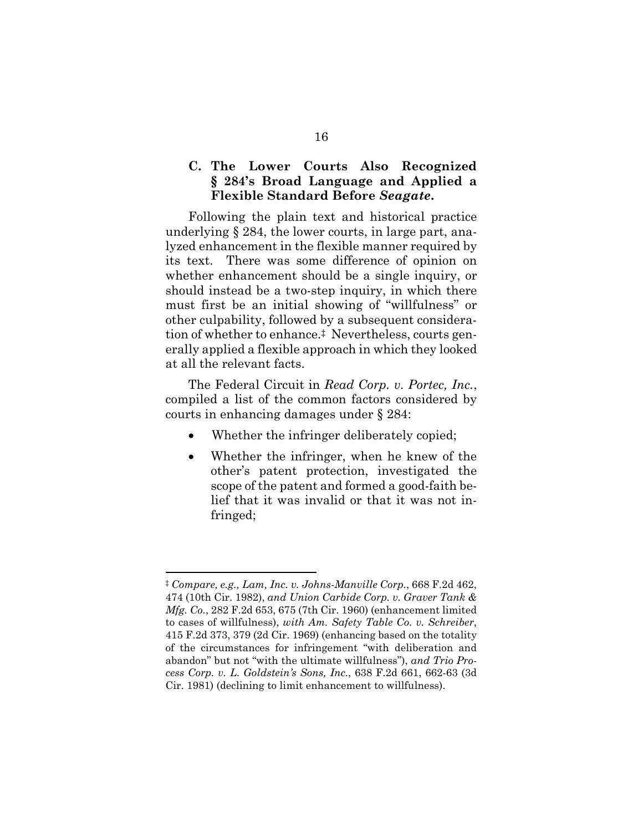## C. The Lower Courts Also Recognized § 284's Broad Language and Applied a Flexible Standard Before Seagate.

Following the plain text and historical practice underlying § 284, the lower courts, in large part, analyzed enhancement in the flexible manner required by its text. There was some difference of opinion on whether enhancement should be a single inquiry, or should instead be a two-step inquiry, in which there must first be an initial showing of "willfulness" or other culpability, followed by a subsequent consideration of whether to enhance.‡ Nevertheless, courts generally applied a flexible approach in which they looked at all the relevant facts.

The Federal Circuit in Read Corp. v. Portec, Inc., compiled a list of the common factors considered by courts in enhancing damages under § 284:

- Whether the infringer deliberately copied;
- Whether the infringer, when he knew of the other's patent protection, investigated the scope of the patent and formed a good-faith belief that it was invalid or that it was not infringed;

 $\overline{a}$ 

<sup>‡</sup> Compare, e.g., Lam, Inc. v. Johns-Manville Corp., 668 F.2d 462, 474 (10th Cir. 1982), and Union Carbide Corp. v. Graver Tank & Mfg. Co., 282 F.2d 653, 675 (7th Cir. 1960) (enhancement limited to cases of willfulness), with Am. Safety Table Co. v. Schreiber, 415 F.2d 373, 379 (2d Cir. 1969) (enhancing based on the totality of the circumstances for infringement "with deliberation and abandon" but not "with the ultimate willfulness"), and Trio Process Corp. v. L. Goldstein's Sons, Inc., 638 F.2d 661, 662-63 (3d Cir. 1981) (declining to limit enhancement to willfulness).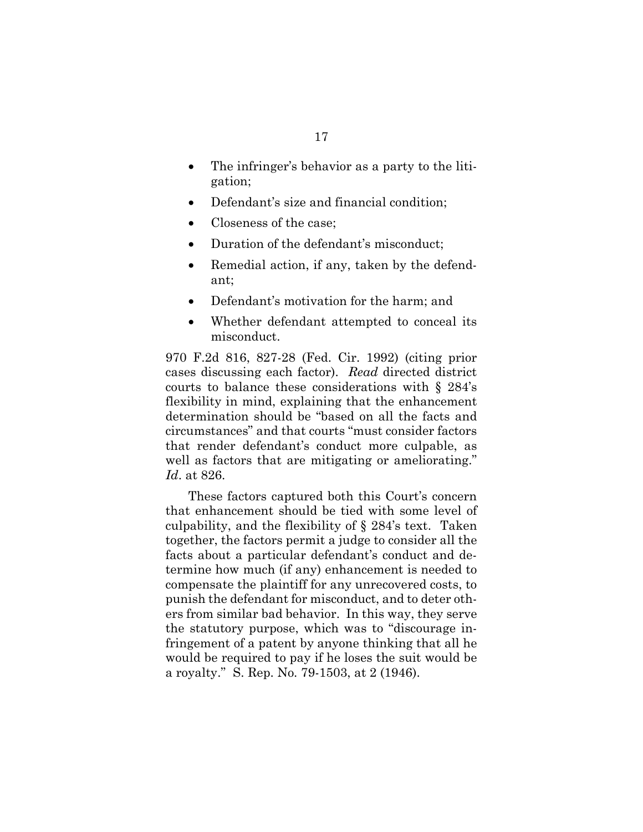- The infringer's behavior as a party to the litigation;
- Defendant's size and financial condition;
- Closeness of the case;
- Duration of the defendant's misconduct;
- Remedial action, if any, taken by the defendant;
- Defendant's motivation for the harm; and
- Whether defendant attempted to conceal its misconduct.

970 F.2d 816, 827-28 (Fed. Cir. 1992) (citing prior cases discussing each factor). Read directed district courts to balance these considerations with § 284's flexibility in mind, explaining that the enhancement determination should be "based on all the facts and circumstances" and that courts "must consider factors that render defendant's conduct more culpable, as well as factors that are mitigating or ameliorating." Id. at 826.

These factors captured both this Court's concern that enhancement should be tied with some level of culpability, and the flexibility of § 284's text. Taken together, the factors permit a judge to consider all the facts about a particular defendant's conduct and determine how much (if any) enhancement is needed to compensate the plaintiff for any unrecovered costs, to punish the defendant for misconduct, and to deter others from similar bad behavior. In this way, they serve the statutory purpose, which was to "discourage infringement of a patent by anyone thinking that all he would be required to pay if he loses the suit would be a royalty." S. Rep. No. 79-1503, at 2 (1946).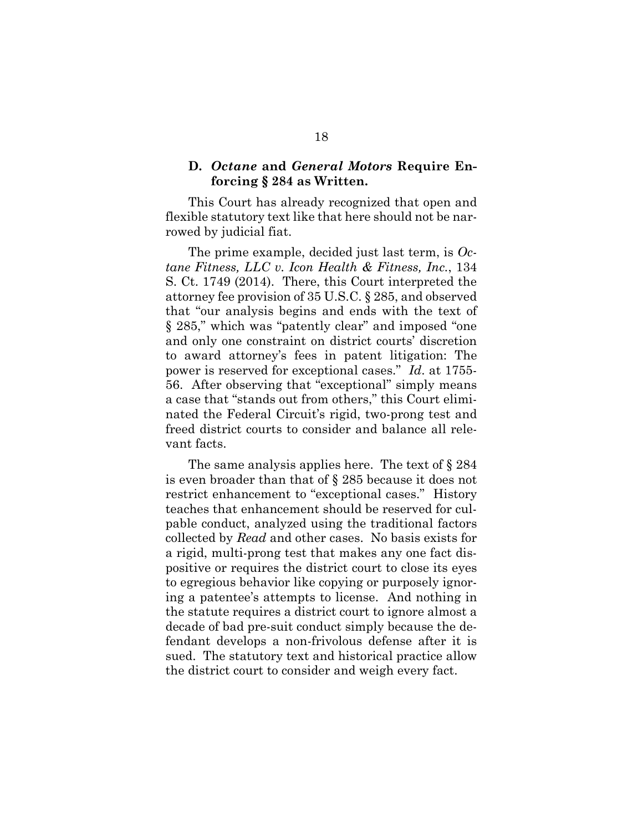### D. Octane and General Motors Require Enforcing § 284 as Written.

This Court has already recognized that open and flexible statutory text like that here should not be narrowed by judicial fiat.

The prime example, decided just last term, is  $Oc$ tane Fitness, LLC v. Icon Health & Fitness, Inc., 134 S. Ct. 1749 (2014). There, this Court interpreted the attorney fee provision of 35 U.S.C. § 285, and observed that "our analysis begins and ends with the text of § 285," which was "patently clear" and imposed "one and only one constraint on district courts' discretion to award attorney's fees in patent litigation: The power is reserved for exceptional cases." Id. at 1755- 56. After observing that "exceptional" simply means a case that "stands out from others," this Court eliminated the Federal Circuit's rigid, two-prong test and freed district courts to consider and balance all relevant facts.

The same analysis applies here. The text of § 284 is even broader than that of § 285 because it does not restrict enhancement to "exceptional cases." History teaches that enhancement should be reserved for culpable conduct, analyzed using the traditional factors collected by Read and other cases. No basis exists for a rigid, multi-prong test that makes any one fact dispositive or requires the district court to close its eyes to egregious behavior like copying or purposely ignoring a patentee's attempts to license. And nothing in the statute requires a district court to ignore almost a decade of bad pre-suit conduct simply because the defendant develops a non-frivolous defense after it is sued. The statutory text and historical practice allow the district court to consider and weigh every fact.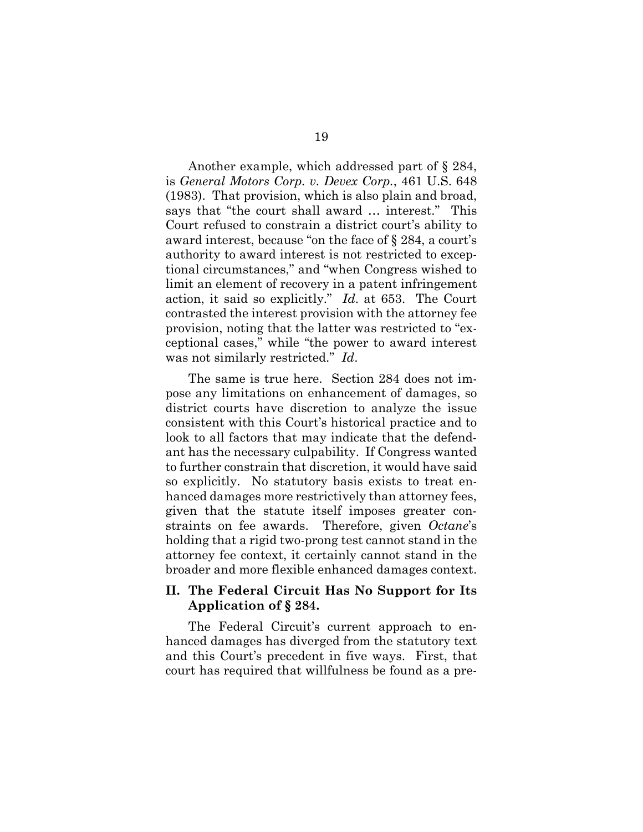Another example, which addressed part of § 284, is General Motors Corp. v. Devex Corp., 461 U.S. 648 (1983). That provision, which is also plain and broad, says that "the court shall award … interest." This Court refused to constrain a district court's ability to award interest, because "on the face of § 284, a court's authority to award interest is not restricted to exceptional circumstances," and "when Congress wished to limit an element of recovery in a patent infringement action, it said so explicitly." Id. at 653. The Court contrasted the interest provision with the attorney fee provision, noting that the latter was restricted to "exceptional cases," while "the power to award interest was not similarly restricted." Id.

The same is true here. Section 284 does not impose any limitations on enhancement of damages, so district courts have discretion to analyze the issue consistent with this Court's historical practice and to look to all factors that may indicate that the defendant has the necessary culpability. If Congress wanted to further constrain that discretion, it would have said so explicitly. No statutory basis exists to treat enhanced damages more restrictively than attorney fees, given that the statute itself imposes greater constraints on fee awards. Therefore, given Octane's holding that a rigid two-prong test cannot stand in the attorney fee context, it certainly cannot stand in the broader and more flexible enhanced damages context.

## II. The Federal Circuit Has No Support for Its Application of § 284.

The Federal Circuit's current approach to enhanced damages has diverged from the statutory text and this Court's precedent in five ways. First, that court has required that willfulness be found as a pre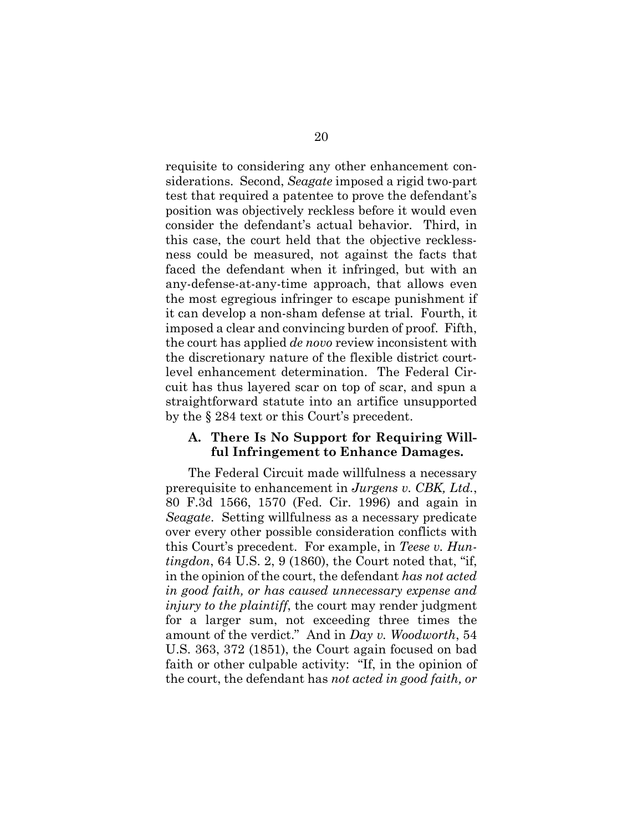requisite to considering any other enhancement considerations. Second, Seagate imposed a rigid two-part test that required a patentee to prove the defendant's position was objectively reckless before it would even consider the defendant's actual behavior. Third, in this case, the court held that the objective recklessness could be measured, not against the facts that faced the defendant when it infringed, but with an any-defense-at-any-time approach, that allows even the most egregious infringer to escape punishment if it can develop a non-sham defense at trial. Fourth, it imposed a clear and convincing burden of proof. Fifth, the court has applied *de novo* review inconsistent with the discretionary nature of the flexible district courtlevel enhancement determination. The Federal Circuit has thus layered scar on top of scar, and spun a straightforward statute into an artifice unsupported by the § 284 text or this Court's precedent.

#### A. There Is No Support for Requiring Willful Infringement to Enhance Damages.

The Federal Circuit made willfulness a necessary prerequisite to enhancement in Jurgens v. CBK, Ltd., 80 F.3d 1566, 1570 (Fed. Cir. 1996) and again in Seagate. Setting willfulness as a necessary predicate over every other possible consideration conflicts with this Court's precedent. For example, in Teese v. Hun $tingdon, 64$  U.S.  $2, 9$  (1860), the Court noted that, "if, in the opinion of the court, the defendant has not acted in good faith, or has caused unnecessary expense and injury to the plaintiff, the court may render judgment for a larger sum, not exceeding three times the amount of the verdict." And in Day v. Woodworth, 54 U.S. 363, 372 (1851), the Court again focused on bad faith or other culpable activity: "If, in the opinion of the court, the defendant has not acted in good faith, or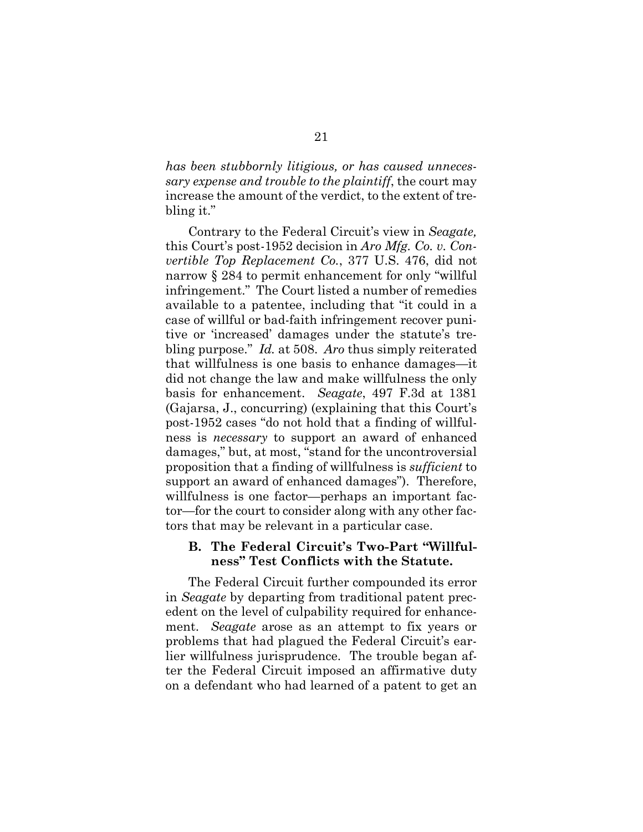has been stubbornly litigious, or has caused unnecessary expense and trouble to the plaintiff, the court may increase the amount of the verdict, to the extent of trebling it."

Contrary to the Federal Circuit's view in Seagate, this Court's post-1952 decision in Aro Mfg. Co. v. Convertible Top Replacement Co., 377 U.S. 476, did not narrow § 284 to permit enhancement for only "willful infringement." The Court listed a number of remedies available to a patentee, including that "it could in a case of willful or bad-faith infringement recover punitive or 'increased' damages under the statute's trebling purpose." Id. at 508. Aro thus simply reiterated that willfulness is one basis to enhance damages—it did not change the law and make willfulness the only basis for enhancement. Seagate, 497 F.3d at 1381 (Gajarsa, J., concurring) (explaining that this Court's post-1952 cases "do not hold that a finding of willfulness is necessary to support an award of enhanced damages," but, at most, "stand for the uncontroversial proposition that a finding of willfulness is sufficient to support an award of enhanced damages"). Therefore, willfulness is one factor—perhaps an important factor—for the court to consider along with any other factors that may be relevant in a particular case.

#### B. The Federal Circuit's Two-Part "Willfulness" Test Conflicts with the Statute.

The Federal Circuit further compounded its error in Seagate by departing from traditional patent precedent on the level of culpability required for enhancement. Seagate arose as an attempt to fix years or problems that had plagued the Federal Circuit's earlier willfulness jurisprudence. The trouble began after the Federal Circuit imposed an affirmative duty on a defendant who had learned of a patent to get an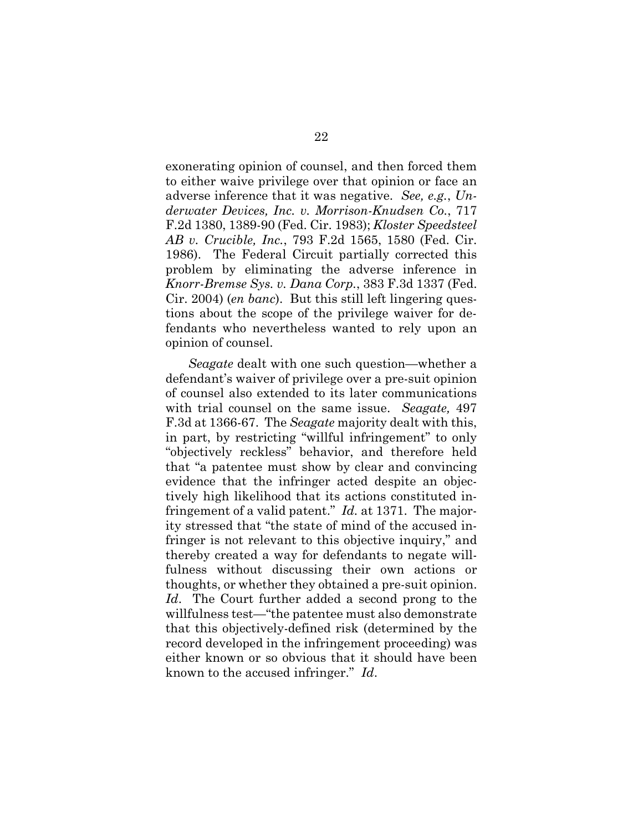exonerating opinion of counsel, and then forced them to either waive privilege over that opinion or face an adverse inference that it was negative. See, e.g., Underwater Devices, Inc. v. Morrison-Knudsen Co., 717 F.2d 1380, 1389-90 (Fed. Cir. 1983); Kloster Speedsteel AB v. Crucible, Inc., 793 F.2d 1565, 1580 (Fed. Cir. 1986). The Federal Circuit partially corrected this problem by eliminating the adverse inference in Knorr-Bremse Sys. v. Dana Corp., 383 F.3d 1337 (Fed. Cir. 2004) (en banc). But this still left lingering questions about the scope of the privilege waiver for defendants who nevertheless wanted to rely upon an opinion of counsel.

Seagate dealt with one such question—whether a defendant's waiver of privilege over a pre-suit opinion of counsel also extended to its later communications with trial counsel on the same issue. Seagate, 497 F.3d at 1366-67. The Seagate majority dealt with this, in part, by restricting "willful infringement" to only "objectively reckless" behavior, and therefore held that "a patentee must show by clear and convincing evidence that the infringer acted despite an objectively high likelihood that its actions constituted infringement of a valid patent." *Id.* at 1371. The majority stressed that "the state of mind of the accused infringer is not relevant to this objective inquiry," and thereby created a way for defendants to negate willfulness without discussing their own actions or thoughts, or whether they obtained a pre-suit opinion. Id. The Court further added a second prong to the willfulness test—"the patentee must also demonstrate that this objectively-defined risk (determined by the record developed in the infringement proceeding) was either known or so obvious that it should have been known to the accused infringer." Id.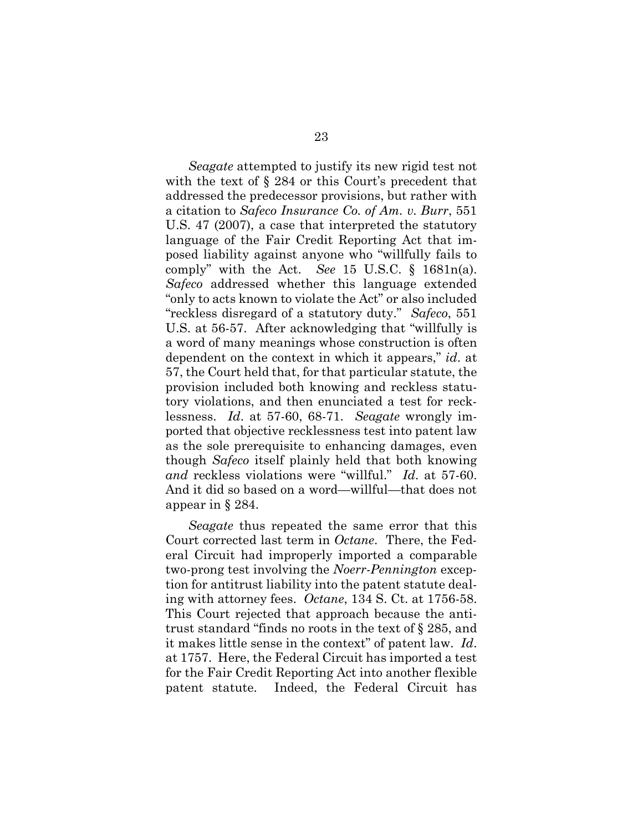Seagate attempted to justify its new rigid test not with the text of  $\S 284$  or this Court's precedent that addressed the predecessor provisions, but rather with a citation to Safeco Insurance Co. of Am. v. Burr, 551 U.S. 47 (2007), a case that interpreted the statutory language of the Fair Credit Reporting Act that imposed liability against anyone who "willfully fails to comply" with the Act. See 15 U.S.C.  $\S$  1681n(a). Safeco addressed whether this language extended "only to acts known to violate the Act" or also included "reckless disregard of a statutory duty." Safeco, 551 U.S. at 56-57. After acknowledging that "willfully is a word of many meanings whose construction is often dependent on the context in which it appears," id. at 57, the Court held that, for that particular statute, the provision included both knowing and reckless statutory violations, and then enunciated a test for recklessness. Id. at 57-60, 68-71. Seagate wrongly imported that objective recklessness test into patent law as the sole prerequisite to enhancing damages, even though Safeco itself plainly held that both knowing and reckless violations were "willful." Id. at 57-60. And it did so based on a word—willful—that does not appear in § 284.

Seagate thus repeated the same error that this Court corrected last term in Octane. There, the Federal Circuit had improperly imported a comparable two-prong test involving the Noerr-Pennington exception for antitrust liability into the patent statute dealing with attorney fees. Octane, 134 S. Ct. at 1756-58. This Court rejected that approach because the antitrust standard "finds no roots in the text of § 285, and it makes little sense in the context" of patent law. Id. at 1757. Here, the Federal Circuit has imported a test for the Fair Credit Reporting Act into another flexible patent statute. Indeed, the Federal Circuit has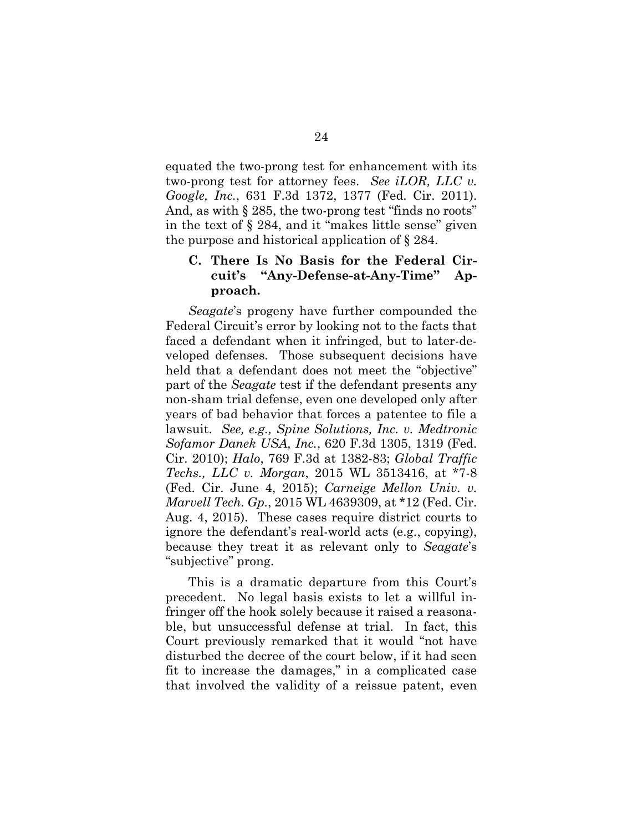equated the two-prong test for enhancement with its two-prong test for attorney fees. See iLOR, LLC v. Google, Inc., 631 F.3d 1372, 1377 (Fed. Cir. 2011). And, as with § 285, the two-prong test "finds no roots" in the text of § 284, and it "makes little sense" given the purpose and historical application of § 284.

## C. There Is No Basis for the Federal Circuit's "Any-Defense-at-Any-Time" Approach.

Seagate's progeny have further compounded the Federal Circuit's error by looking not to the facts that faced a defendant when it infringed, but to later-developed defenses. Those subsequent decisions have held that a defendant does not meet the "objective" part of the Seagate test if the defendant presents any non-sham trial defense, even one developed only after years of bad behavior that forces a patentee to file a lawsuit. See, e.g., Spine Solutions, Inc. v. Medtronic Sofamor Danek USA, Inc., 620 F.3d 1305, 1319 (Fed. Cir. 2010); Halo, 769 F.3d at 1382-83; Global Traffic Techs., LLC v. Morgan, 2015 WL 3513416, at \*7-8 (Fed. Cir. June 4, 2015); Carneige Mellon Univ. v. Marvell Tech. Gp., 2015 WL 4639309, at \*12 (Fed. Cir. Aug. 4, 2015). These cases require district courts to ignore the defendant's real-world acts (e.g., copying), because they treat it as relevant only to Seagate's "subjective" prong.

This is a dramatic departure from this Court's precedent. No legal basis exists to let a willful infringer off the hook solely because it raised a reasonable, but unsuccessful defense at trial. In fact, this Court previously remarked that it would "not have disturbed the decree of the court below, if it had seen fit to increase the damages," in a complicated case that involved the validity of a reissue patent, even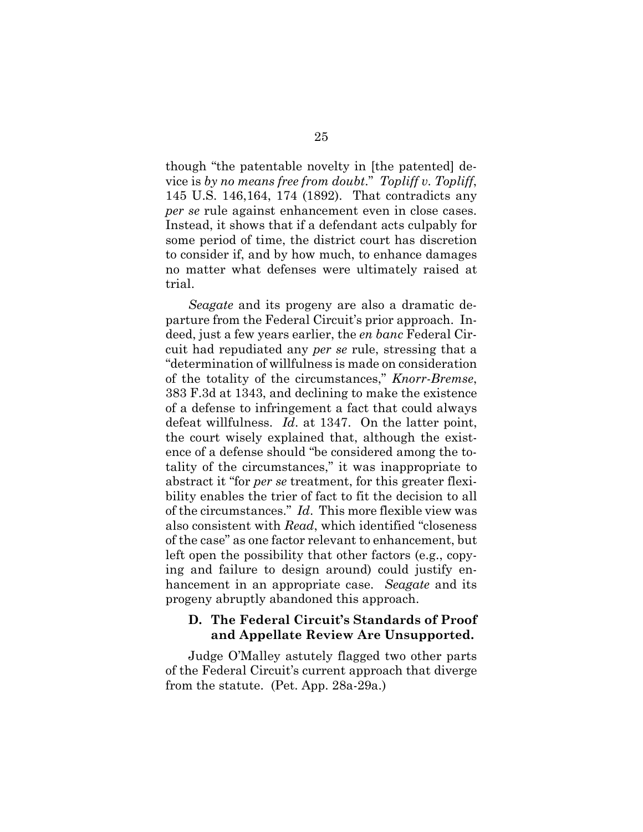though "the patentable novelty in [the patented] device is by no means free from doubt." Topliff v. Topliff, 145 U.S. 146,164, 174 (1892). That contradicts any per se rule against enhancement even in close cases. Instead, it shows that if a defendant acts culpably for some period of time, the district court has discretion to consider if, and by how much, to enhance damages no matter what defenses were ultimately raised at trial.

Seagate and its progeny are also a dramatic departure from the Federal Circuit's prior approach. Indeed, just a few years earlier, the en banc Federal Circuit had repudiated any per se rule, stressing that a "determination of willfulness is made on consideration of the totality of the circumstances," Knorr-Bremse, 383 F.3d at 1343, and declining to make the existence of a defense to infringement a fact that could always defeat willfulness. Id. at 1347. On the latter point, the court wisely explained that, although the existence of a defense should "be considered among the totality of the circumstances," it was inappropriate to abstract it "for per se treatment, for this greater flexibility enables the trier of fact to fit the decision to all of the circumstances." Id. This more flexible view was also consistent with Read, which identified "closeness of the case" as one factor relevant to enhancement, but left open the possibility that other factors (e.g., copying and failure to design around) could justify enhancement in an appropriate case. Seagate and its progeny abruptly abandoned this approach.

## D. The Federal Circuit's Standards of Proof and Appellate Review Are Unsupported.

Judge O'Malley astutely flagged two other parts of the Federal Circuit's current approach that diverge from the statute. (Pet. App. 28a-29a.)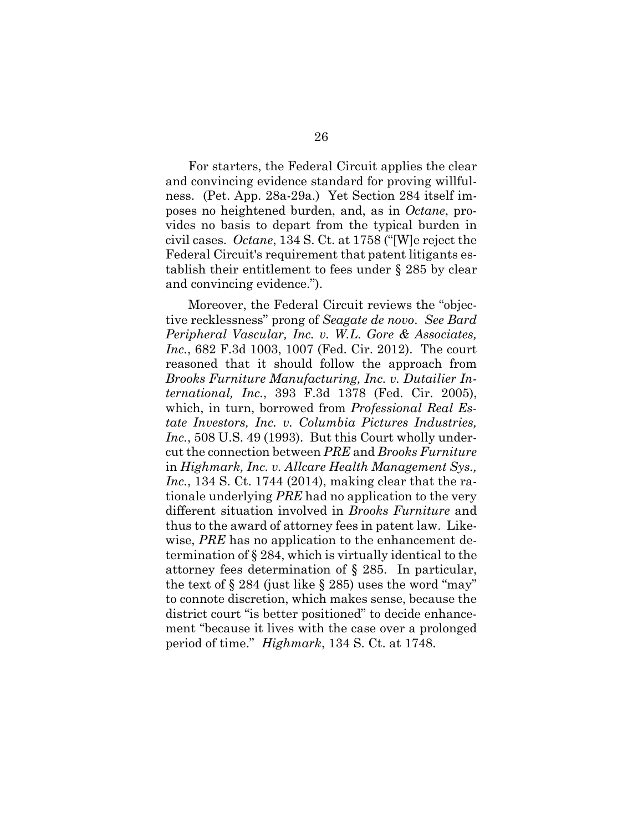For starters, the Federal Circuit applies the clear and convincing evidence standard for proving willfulness. (Pet. App. 28a-29a.) Yet Section 284 itself imposes no heightened burden, and, as in Octane, provides no basis to depart from the typical burden in civil cases. Octane, 134 S. Ct. at 1758 ("[W]e reject the Federal Circuit's requirement that patent litigants establish their entitlement to fees under § 285 by clear and convincing evidence.").

Moreover, the Federal Circuit reviews the "objective recklessness" prong of Seagate de novo. See Bard Peripheral Vascular, Inc. v. W.L. Gore & Associates, Inc., 682 F.3d 1003, 1007 (Fed. Cir. 2012). The court reasoned that it should follow the approach from Brooks Furniture Manufacturing, Inc. v. Dutailier International, Inc., 393 F.3d 1378 (Fed. Cir. 2005), which, in turn, borrowed from *Professional Real Es*tate Investors, Inc. v. Columbia Pictures Industries, Inc., 508 U.S. 49 (1993). But this Court wholly undercut the connection between PRE and Brooks Furniture in Highmark, Inc. v. Allcare Health Management Sys., Inc., 134 S. Ct. 1744 (2014), making clear that the rationale underlying PRE had no application to the very different situation involved in Brooks Furniture and thus to the award of attorney fees in patent law. Likewise, *PRE* has no application to the enhancement determination of § 284, which is virtually identical to the attorney fees determination of § 285. In particular, the text of  $\S 284$  (just like  $\S 285$ ) uses the word "may" to connote discretion, which makes sense, because the district court "is better positioned" to decide enhancement "because it lives with the case over a prolonged period of time." Highmark, 134 S. Ct. at 1748.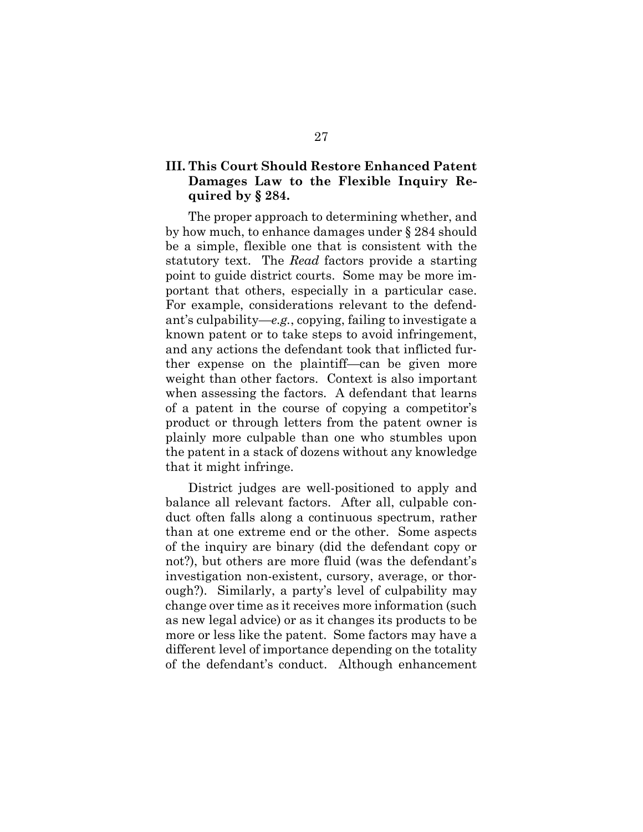## III. This Court Should Restore Enhanced Patent Damages Law to the Flexible Inquiry Required by § 284.

The proper approach to determining whether, and by how much, to enhance damages under § 284 should be a simple, flexible one that is consistent with the statutory text. The Read factors provide a starting point to guide district courts. Some may be more important that others, especially in a particular case. For example, considerations relevant to the defendant's culpability—e.g., copying, failing to investigate a known patent or to take steps to avoid infringement, and any actions the defendant took that inflicted further expense on the plaintiff—can be given more weight than other factors. Context is also important when assessing the factors. A defendant that learns of a patent in the course of copying a competitor's product or through letters from the patent owner is plainly more culpable than one who stumbles upon the patent in a stack of dozens without any knowledge that it might infringe.

District judges are well-positioned to apply and balance all relevant factors. After all, culpable conduct often falls along a continuous spectrum, rather than at one extreme end or the other. Some aspects of the inquiry are binary (did the defendant copy or not?), but others are more fluid (was the defendant's investigation non-existent, cursory, average, or thorough?). Similarly, a party's level of culpability may change over time as it receives more information (such as new legal advice) or as it changes its products to be more or less like the patent. Some factors may have a different level of importance depending on the totality of the defendant's conduct. Although enhancement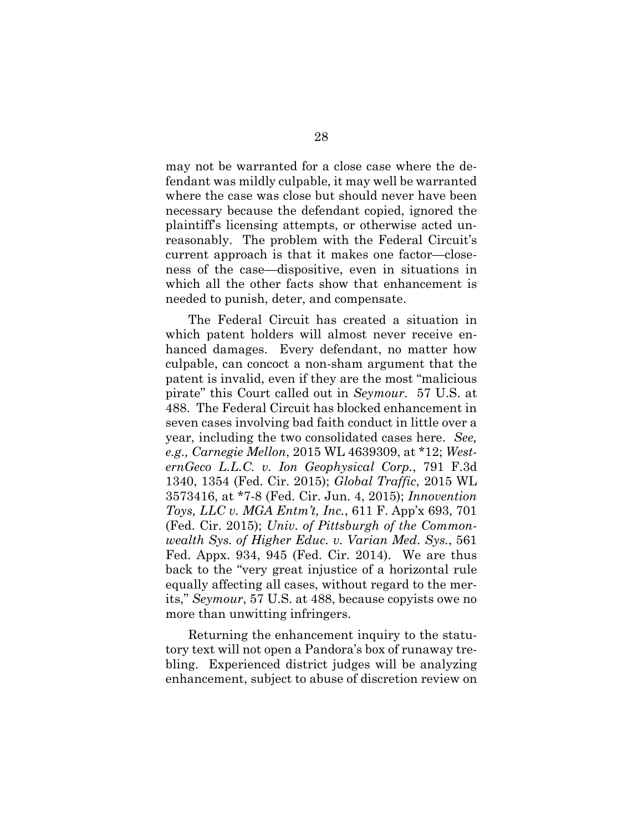may not be warranted for a close case where the defendant was mildly culpable, it may well be warranted where the case was close but should never have been necessary because the defendant copied, ignored the plaintiff's licensing attempts, or otherwise acted unreasonably. The problem with the Federal Circuit's current approach is that it makes one factor—closeness of the case—dispositive, even in situations in which all the other facts show that enhancement is needed to punish, deter, and compensate.

The Federal Circuit has created a situation in which patent holders will almost never receive enhanced damages. Every defendant, no matter how culpable, can concoct a non-sham argument that the patent is invalid, even if they are the most "malicious pirate" this Court called out in Seymour. 57 U.S. at 488. The Federal Circuit has blocked enhancement in seven cases involving bad faith conduct in little over a year, including the two consolidated cases here. See, e.g., Carnegie Mellon, 2015 WL 4639309, at \*12; WesternGeco L.L.C. v. Ion Geophysical Corp., 791 F.3d 1340, 1354 (Fed. Cir. 2015); Global Traffic, 2015 WL 3573416, at \*7-8 (Fed. Cir. Jun. 4, 2015); Innovention Toys, LLC v. MGA Entm't, Inc., 611 F. App'x 693, 701 (Fed. Cir. 2015); Univ. of Pittsburgh of the Commonwealth Sys. of Higher Educ. v. Varian Med. Sys., 561 Fed. Appx. 934, 945 (Fed. Cir. 2014). We are thus back to the "very great injustice of a horizontal rule equally affecting all cases, without regard to the merits," Seymour, 57 U.S. at 488, because copyists owe no more than unwitting infringers.

Returning the enhancement inquiry to the statutory text will not open a Pandora's box of runaway trebling. Experienced district judges will be analyzing enhancement, subject to abuse of discretion review on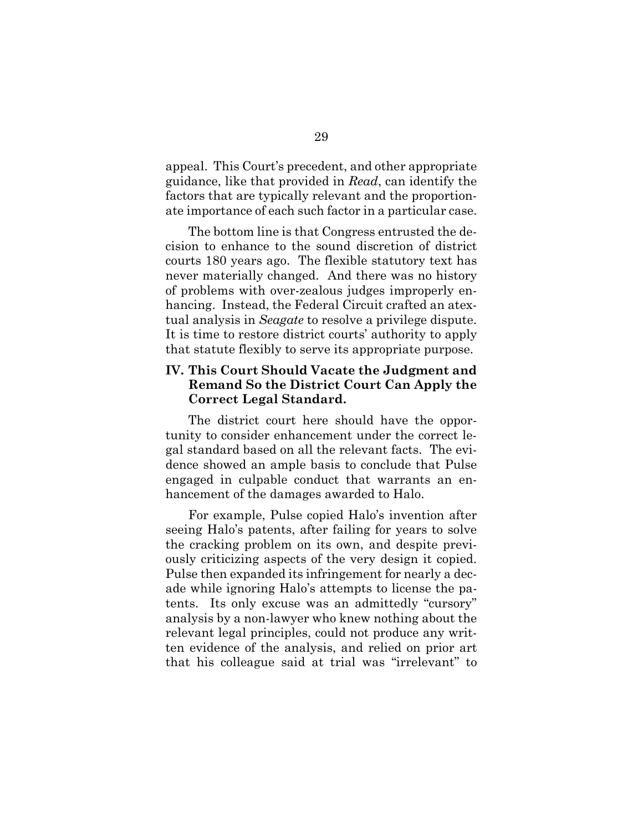appeal. This Court's precedent, and other appropriate guidance, like that provided in Read, can identify the factors that are typically relevant and the proportionate importance of each such factor in a particular case.

The bottom line is that Congress entrusted the decision to enhance to the sound discretion of district courts 180 years ago. The flexible statutory text has never materially changed. And there was no history of problems with over-zealous judges improperly enhancing. Instead, the Federal Circuit crafted an atextual analysis in Seagate to resolve a privilege dispute. It is time to restore district courts' authority to apply that statute flexibly to serve its appropriate purpose.

## IV. This Court Should Vacate the Judgment and Remand So the District Court Can Apply the Correct Legal Standard.

The district court here should have the opportunity to consider enhancement under the correct legal standard based on all the relevant facts. The evidence showed an ample basis to conclude that Pulse engaged in culpable conduct that warrants an enhancement of the damages awarded to Halo.

For example, Pulse copied Halo's invention after seeing Halo's patents, after failing for years to solve the cracking problem on its own, and despite previously criticizing aspects of the very design it copied. Pulse then expanded its infringement for nearly a decade while ignoring Halo's attempts to license the patents. Its only excuse was an admittedly "cursory" analysis by a non-lawyer who knew nothing about the relevant legal principles, could not produce any written evidence of the analysis, and relied on prior art that his colleague said at trial was "irrelevant" to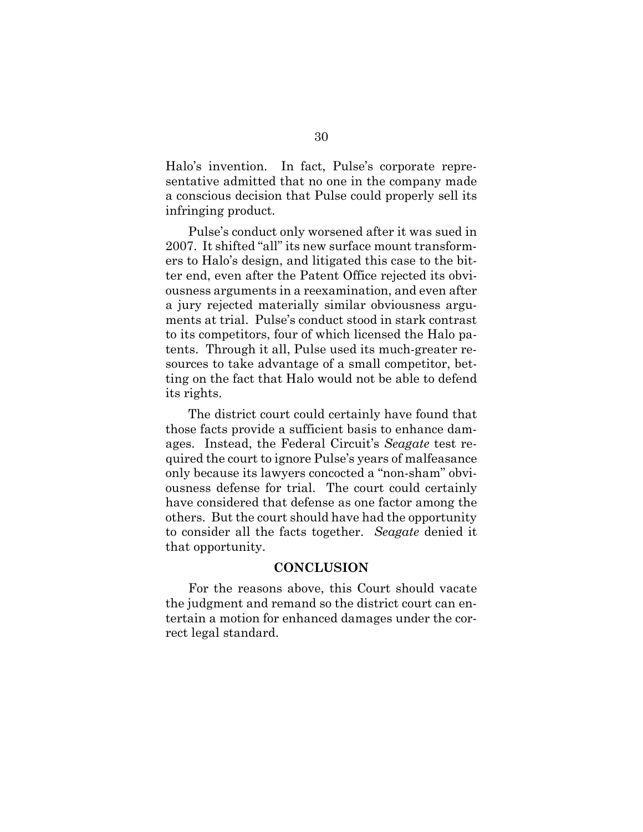Halo's invention. In fact, Pulse's corporate representative admitted that no one in the company made a conscious decision that Pulse could properly sell its infringing product.

Pulse's conduct only worsened after it was sued in 2007. It shifted "all" its new surface mount transformers to Halo's design, and litigated this case to the bitter end, even after the Patent Office rejected its obviousness arguments in a reexamination, and even after a jury rejected materially similar obviousness arguments at trial. Pulse's conduct stood in stark contrast to its competitors, four of which licensed the Halo patents. Through it all, Pulse used its much-greater resources to take advantage of a small competitor, betting on the fact that Halo would not be able to defend its rights.

The district court could certainly have found that those facts provide a sufficient basis to enhance damages. Instead, the Federal Circuit's Seagate test required the court to ignore Pulse's years of malfeasance only because its lawyers concocted a "non-sham" obviousness defense for trial. The court could certainly have considered that defense as one factor among the others. But the court should have had the opportunity to consider all the facts together. Seagate denied it that opportunity.

#### **CONCLUSION**

For the reasons above, this Court should vacate the judgment and remand so the district court can entertain a motion for enhanced damages under the correct legal standard.